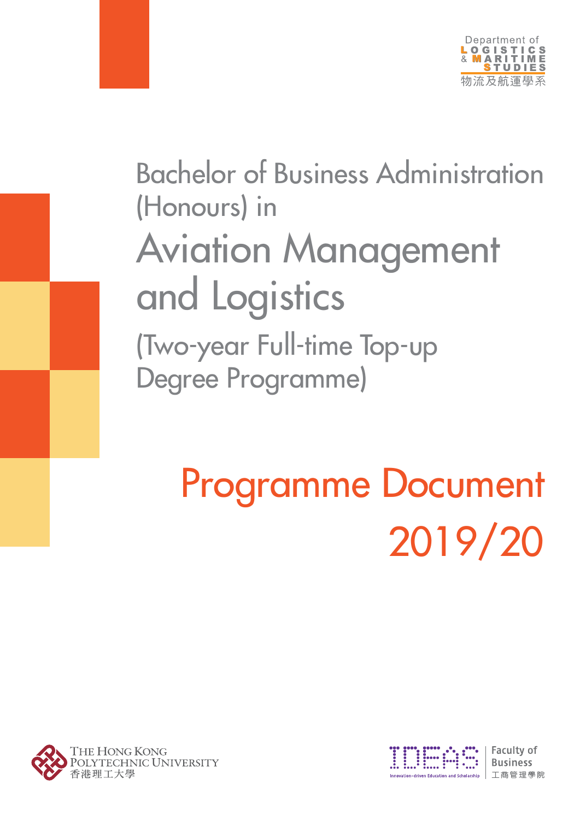

## Bachelor of Business Administration (Honours) in Aviation Management and Logistics (Two-year Full-time Top-up Degree Programme)

# 2019/20 Programme Document





**Faculty of Business** 丁商管理學院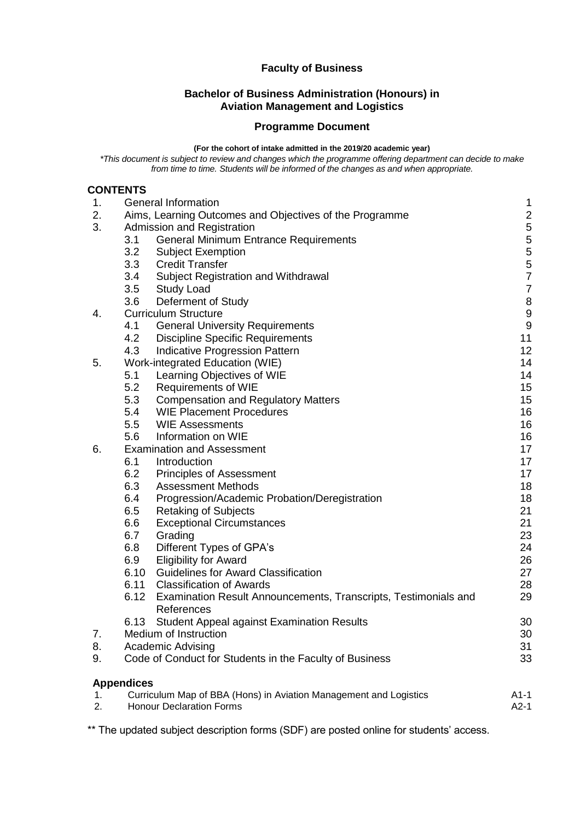#### **Faculty of Business**

#### **Bachelor of Business Administration (Honours) in Aviation Management and Logistics**

#### **Programme Document**

#### **(For the cohort of intake admitted in the 2019/20 academic year)**

*\*This document is subject to review and changes which the programme offering department can decide to make from time to time. Students will be informed of the changes as and when appropriate.*

#### **CONTENTS**

| 1. | <b>General Information</b>                                              | 1              |
|----|-------------------------------------------------------------------------|----------------|
| 2. | Aims, Learning Outcomes and Objectives of the Programme                 | $\overline{c}$ |
| 3. | <b>Admission and Registration</b>                                       | 5              |
|    | 3.1<br><b>General Minimum Entrance Requirements</b>                     |                |
|    | 3.2<br><b>Subject Exemption</b>                                         | 5557           |
|    | 3.3<br><b>Credit Transfer</b>                                           |                |
|    | 3.4<br>Subject Registration and Withdrawal                              |                |
|    | 3.5<br><b>Study Load</b>                                                | 7              |
|    | 3.6<br>Deferment of Study                                               | 8              |
| 4. | <b>Curriculum Structure</b>                                             | 9              |
|    | 4.1<br><b>General University Requirements</b>                           | 9              |
|    | 4.2<br><b>Discipline Specific Requirements</b>                          | 11             |
|    | 4.3<br>Indicative Progression Pattern                                   | 12             |
| 5. | Work-integrated Education (WIE)                                         | 14             |
|    | Learning Objectives of WIE<br>5.1                                       | 14             |
|    | 5.2<br><b>Requirements of WIE</b>                                       | 15             |
|    | 5.3<br><b>Compensation and Regulatory Matters</b>                       | 15             |
|    | 5.4<br><b>WIE Placement Procedures</b>                                  | 16             |
|    | 5.5<br><b>WIE Assessments</b>                                           | 16             |
|    | 5.6<br>Information on WIE                                               | 16             |
| 6. | <b>Examination and Assessment</b>                                       | 17             |
|    | 6.1<br>Introduction                                                     | 17             |
|    | 6.2<br><b>Principles of Assessment</b>                                  | 17             |
|    | 6.3<br><b>Assessment Methods</b>                                        | 18             |
|    | 6.4<br>Progression/Academic Probation/Deregistration                    | 18             |
|    | 6.5<br><b>Retaking of Subjects</b>                                      | 21             |
|    | 6.6<br><b>Exceptional Circumstances</b>                                 | 21             |
|    | 6.7<br>Grading                                                          | 23             |
|    | 6.8<br>Different Types of GPA's                                         | 24             |
|    | 6.9<br><b>Eligibility for Award</b>                                     | 26             |
|    | 6.10<br><b>Guidelines for Award Classification</b>                      | 27             |
|    | 6.11<br><b>Classification of Awards</b>                                 | 28             |
|    | 6.12<br>Examination Result Announcements, Transcripts, Testimonials and | 29             |
|    | References                                                              |                |
|    | 6.13<br><b>Student Appeal against Examination Results</b>               | 30             |
| 7. | Medium of Instruction                                                   | 30             |
| 8. | <b>Academic Advising</b>                                                | 31             |
| 9. | Code of Conduct for Students in the Faculty of Business                 | 33             |
|    | <b>Appendices</b>                                                       |                |
| 1. | Curriculum Map of BBA (Hons) in Aviation Management and Logistics       | $A1-1$         |
| 2. | <b>Honour Declaration Forms</b>                                         | $A2-1$         |

\*\* The updated subject description forms (SDF) are posted online for students' access.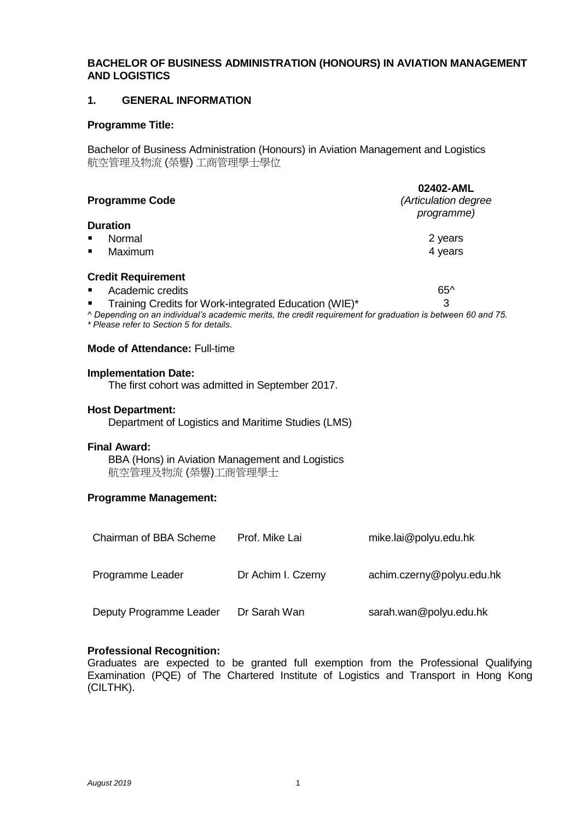#### **BACHELOR OF BUSINESS ADMINISTRATION (HONOURS) IN AVIATION MANAGEMENT AND LOGISTICS**

#### **1. GENERAL INFORMATION**

#### **Programme Title:**

Bachelor of Business Administration (Honours) in Aviation Management and Logistics 航空管理及物流 (榮譽) 工商管理學士學位

| <b>Programme Code</b>                                                                                                                                   | 02402-AML<br>(Articulation degree<br><i>programme</i> ) |
|---------------------------------------------------------------------------------------------------------------------------------------------------------|---------------------------------------------------------|
| <b>Duration</b>                                                                                                                                         |                                                         |
| Normal                                                                                                                                                  | 2 years                                                 |
| Maximum<br>$\blacksquare$                                                                                                                               | 4 years                                                 |
| <b>Credit Requirement</b>                                                                                                                               |                                                         |
| Academic credits<br>$\blacksquare$                                                                                                                      | $65^{\circ}$                                            |
| Training Credits for Work-integrated Education (WIE)*                                                                                                   | 3                                                       |
| ^ Depending on an individual's academic merits, the credit requirement for graduation is between 60 and 75.<br>* Please refer to Section 5 for details. |                                                         |

#### **Mode of Attendance:** Full-time

#### **Implementation Date:**

The first cohort was admitted in September 2017.

#### **Host Department:**

Department of Logistics and Maritime Studies (LMS)

#### **Final Award:**

 BBA (Hons) in Aviation Management and Logistics 航空管理及物流 (榮譽)工商管理學士

#### **Programme Management:**

| Chairman of BBA Scheme  | Prof. Mike Lai     | mike.lai@polyu.edu.hk     |
|-------------------------|--------------------|---------------------------|
| Programme Leader        | Dr Achim I. Czerny | achim.czerny@polyu.edu.hk |
| Deputy Programme Leader | Dr Sarah Wan       | sarah.wan@polyu.edu.hk    |

#### **Professional Recognition:**

Graduates are expected to be granted full exemption from the Professional Qualifying Examination (PQE) of The Chartered Institute of Logistics and Transport in Hong Kong (CILTHK).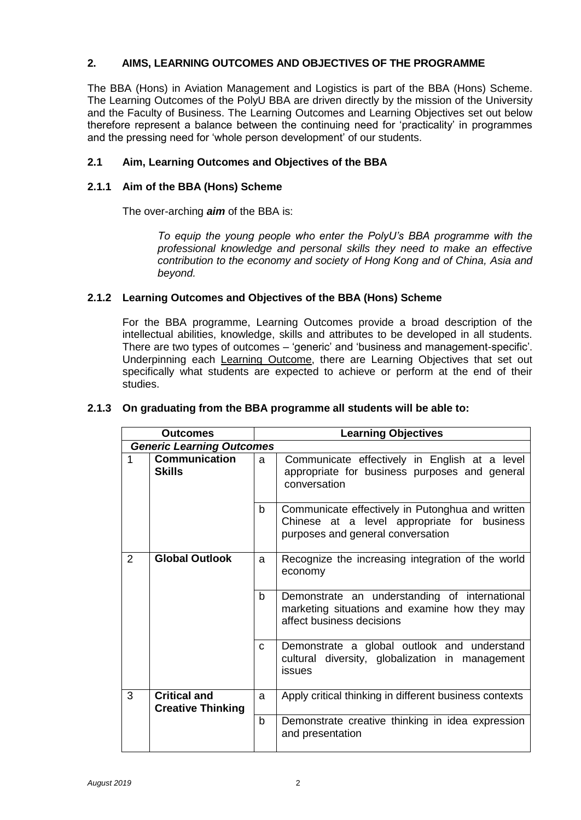#### **2. AIMS, LEARNING OUTCOMES AND OBJECTIVES OF THE PROGRAMME**

The BBA (Hons) in Aviation Management and Logistics is part of the BBA (Hons) Scheme. The Learning Outcomes of the PolyU BBA are driven directly by the mission of the University and the Faculty of Business. The Learning Outcomes and Learning Objectives set out below therefore represent a balance between the continuing need for 'practicality' in programmes and the pressing need for 'whole person development' of our students.

#### **2.1 Aim, Learning Outcomes and Objectives of the BBA**

#### **2.1.1 Aim of the BBA (Hons) Scheme**

The over-arching *aim* of the BBA is:

*To equip the young people who enter the PolyU's BBA programme with the professional knowledge and personal skills they need to make an effective contribution to the economy and society of Hong Kong and of China, Asia and beyond.*

#### **2.1.2 Learning Outcomes and Objectives of the BBA (Hons) Scheme**

For the BBA programme, Learning Outcomes provide a broad description of the intellectual abilities, knowledge, skills and attributes to be developed in all students. There are two types of outcomes – 'generic' and 'business and management-specific'. Underpinning each Learning Outcome, there are Learning Objectives that set out specifically what students are expected to achieve or perform at the end of their studies.

#### **2.1.3 On graduating from the BBA programme all students will be able to:**

| <b>Outcomes</b> |                                                 | <b>Learning Objectives</b> |                                                                                                                                      |
|-----------------|-------------------------------------------------|----------------------------|--------------------------------------------------------------------------------------------------------------------------------------|
|                 | <b>Generic Learning Outcomes</b>                |                            |                                                                                                                                      |
| 1               | <b>Communication</b><br><b>Skills</b>           | a                          | Communicate effectively in English at a level<br>appropriate for business purposes and general<br>conversation                       |
|                 |                                                 | b                          | Communicate effectively in Putonghua and written<br>Chinese at a level appropriate for business<br>purposes and general conversation |
| $\overline{2}$  | <b>Global Outlook</b>                           | a                          | Recognize the increasing integration of the world<br>economy                                                                         |
|                 |                                                 | b                          | Demonstrate an understanding of international<br>marketing situations and examine how they may<br>affect business decisions          |
|                 |                                                 | $\mathbf{C}$               | Demonstrate a global outlook and understand<br>cultural diversity, globalization in management<br>issues                             |
| 3               | <b>Critical and</b><br><b>Creative Thinking</b> | a                          | Apply critical thinking in different business contexts                                                                               |
|                 |                                                 | b                          | Demonstrate creative thinking in idea expression<br>and presentation                                                                 |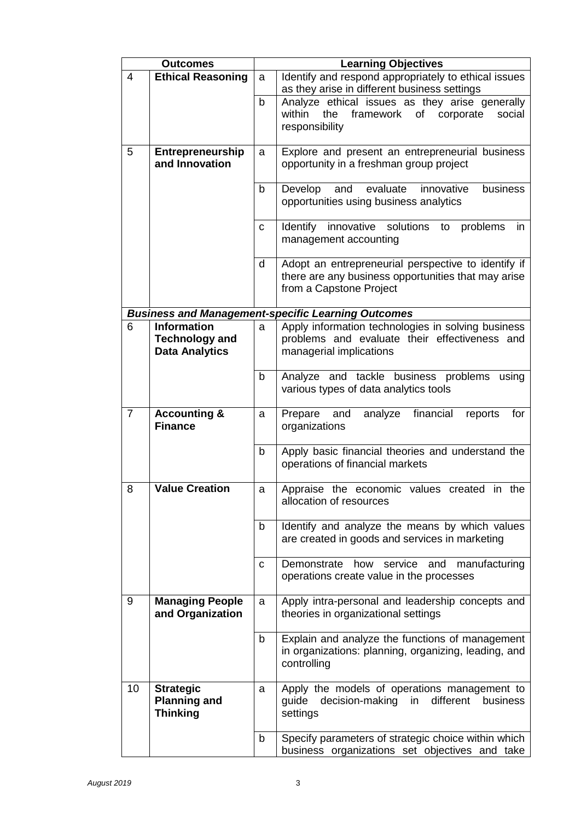|                | <b>Outcomes</b>                             | <b>Learning Objectives</b> |                                                                                                           |
|----------------|---------------------------------------------|----------------------------|-----------------------------------------------------------------------------------------------------------|
| $\overline{4}$ | <b>Ethical Reasoning</b>                    | a                          | Identify and respond appropriately to ethical issues                                                      |
|                |                                             | $\mathsf b$                | as they arise in different business settings                                                              |
|                |                                             |                            | Analyze ethical issues as they arise generally<br>within<br>the<br>framework<br>of<br>corporate<br>social |
|                |                                             |                            | responsibility                                                                                            |
|                |                                             |                            |                                                                                                           |
| 5              | <b>Entrepreneurship</b>                     | a                          | Explore and present an entrepreneurial business                                                           |
|                | and Innovation                              |                            | opportunity in a freshman group project                                                                   |
|                |                                             | $\mathsf b$                | business<br>evaluate<br>Develop<br>and<br>innovative                                                      |
|                |                                             |                            | opportunities using business analytics                                                                    |
|                |                                             |                            |                                                                                                           |
|                |                                             | C                          | Identify innovative solutions to<br>problems<br>in                                                        |
|                |                                             |                            | management accounting                                                                                     |
|                |                                             | d                          | Adopt an entrepreneurial perspective to identify if                                                       |
|                |                                             |                            | there are any business opportunities that may arise                                                       |
|                |                                             |                            | from a Capstone Project                                                                                   |
|                |                                             |                            |                                                                                                           |
|                |                                             |                            | <b>Business and Management-specific Learning Outcomes</b>                                                 |
| 6              | <b>Information</b><br><b>Technology and</b> | a                          | Apply information technologies in solving business<br>problems and evaluate their effectiveness and       |
|                | <b>Data Analytics</b>                       |                            | managerial implications                                                                                   |
|                |                                             |                            |                                                                                                           |
|                |                                             | $\mathsf{b}$               | Analyze and tackle business problems<br>using                                                             |
|                |                                             |                            | various types of data analytics tools                                                                     |
| $\overline{7}$ | <b>Accounting &amp;</b>                     | a                          | analyze financial<br>Prepare<br>and<br>reports<br>for                                                     |
|                | <b>Finance</b>                              |                            | organizations                                                                                             |
|                |                                             |                            |                                                                                                           |
|                |                                             | b                          | Apply basic financial theories and understand the                                                         |
|                |                                             |                            | operations of financial markets                                                                           |
| 8              | <b>Value Creation</b>                       | a                          | Appraise the economic values created in the                                                               |
|                |                                             |                            | allocation of resources                                                                                   |
|                |                                             |                            |                                                                                                           |
|                |                                             | b                          | Identify and analyze the means by which values                                                            |
|                |                                             |                            | are created in goods and services in marketing                                                            |
|                |                                             | C                          | Demonstrate<br>how<br>service<br>and<br>manufacturing                                                     |
|                |                                             |                            | operations create value in the processes                                                                  |
|                |                                             |                            |                                                                                                           |
| 9              | <b>Managing People</b>                      | a                          | Apply intra-personal and leadership concepts and                                                          |
|                | and Organization                            |                            | theories in organizational settings                                                                       |
|                |                                             | $\mathsf b$                | Explain and analyze the functions of management                                                           |
|                |                                             |                            | in organizations: planning, organizing, leading, and                                                      |
|                |                                             |                            | controlling                                                                                               |
|                |                                             |                            |                                                                                                           |
| 10             | <b>Strategic</b>                            | a                          | Apply the models of operations management to<br>in different<br>business                                  |
|                | <b>Planning and</b><br><b>Thinking</b>      |                            | guide decision-making<br>settings                                                                         |
|                |                                             |                            |                                                                                                           |
|                |                                             | b                          | Specify parameters of strategic choice within which                                                       |
|                |                                             |                            | business organizations set objectives and take                                                            |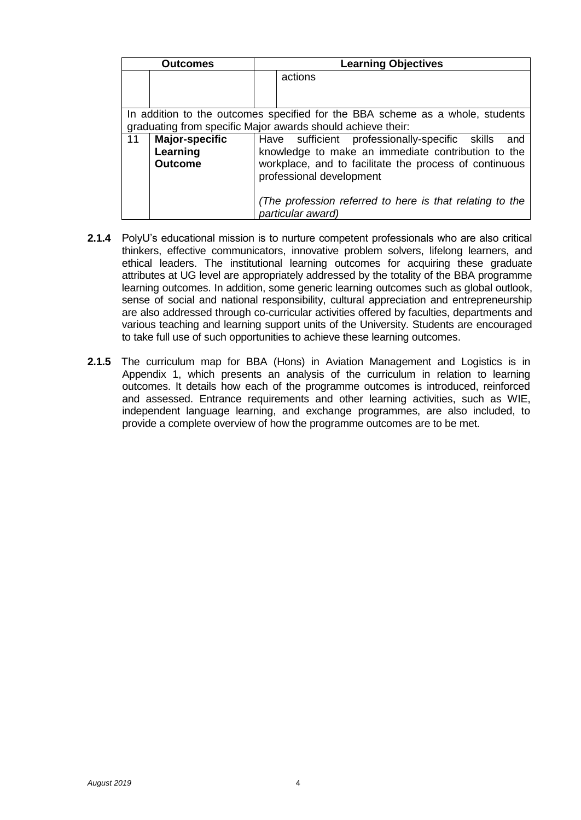|    | <b>Outcomes</b> | <b>Learning Objectives</b>                                                    |  |
|----|-----------------|-------------------------------------------------------------------------------|--|
|    |                 | actions                                                                       |  |
|    |                 |                                                                               |  |
|    |                 | In addition to the outcomes specified for the BBA scheme as a whole, students |  |
|    |                 | graduating from specific Major awards should achieve their:                   |  |
| 11 | Major-specific  | Have sufficient professionally-specific skills<br>and                         |  |
|    | Learning        | knowledge to make an immediate contribution to the                            |  |
|    | <b>Outcome</b>  | workplace, and to facilitate the process of continuous                        |  |
|    |                 | professional development                                                      |  |
|    |                 |                                                                               |  |
|    |                 | (The profession referred to here is that relating to the                      |  |
|    |                 | particular award)                                                             |  |

- **2.1.4** PolyU's educational mission is to nurture competent professionals who are also critical thinkers, effective communicators, innovative problem solvers, lifelong learners, and ethical leaders. The institutional learning outcomes for acquiring these graduate attributes at UG level are appropriately addressed by the totality of the BBA programme learning outcomes. In addition, some generic learning outcomes such as global outlook, sense of social and national responsibility, cultural appreciation and entrepreneurship are also addressed through co-curricular activities offered by faculties, departments and various teaching and learning support units of the University. Students are encouraged to take full use of such opportunities to achieve these learning outcomes.
- **2.1.5** The curriculum map for BBA (Hons) in Aviation Management and Logistics is in Appendix 1, which presents an analysis of the curriculum in relation to learning outcomes. It details how each of the programme outcomes is introduced, reinforced and assessed. Entrance requirements and other learning activities, such as WIE, independent language learning, and exchange programmes, are also included, to provide a complete overview of how the programme outcomes are to be met.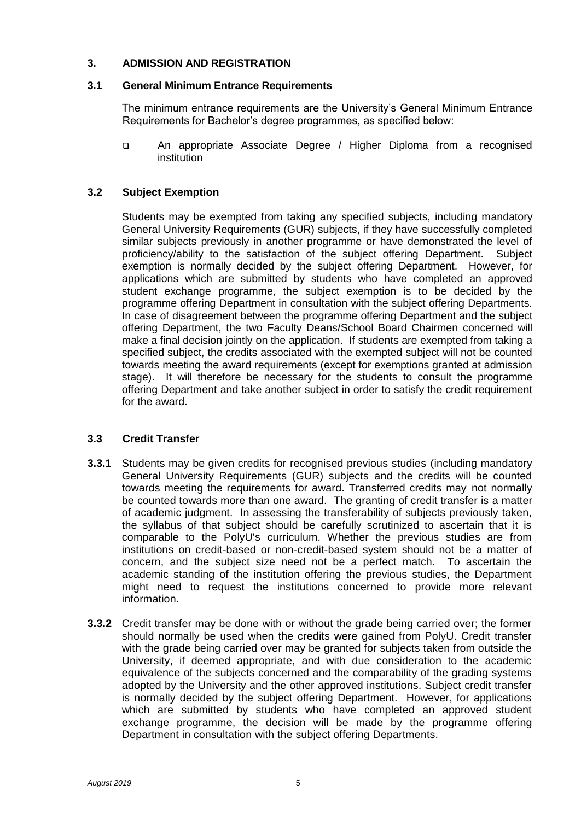#### **3. ADMISSION AND REGISTRATION**

#### **3.1 General Minimum Entrance Requirements**

The minimum entrance requirements are the University's General Minimum Entrance Requirements for Bachelor's degree programmes, as specified below:

 An appropriate Associate Degree / Higher Diploma from a recognised institution

#### **3.2 Subject Exemption**

Students may be exempted from taking any specified subjects, including mandatory General University Requirements (GUR) subjects, if they have successfully completed similar subjects previously in another programme or have demonstrated the level of proficiency/ability to the satisfaction of the subject offering Department. Subject exemption is normally decided by the subject offering Department. However, for applications which are submitted by students who have completed an approved student exchange programme, the subject exemption is to be decided by the programme offering Department in consultation with the subject offering Departments. In case of disagreement between the programme offering Department and the subject offering Department, the two Faculty Deans/School Board Chairmen concerned will make a final decision jointly on the application. If students are exempted from taking a specified subject, the credits associated with the exempted subject will not be counted towards meeting the award requirements (except for exemptions granted at admission stage). It will therefore be necessary for the students to consult the programme offering Department and take another subject in order to satisfy the credit requirement for the award.

#### **3.3 Credit Transfer**

- **3.3.1** Students may be given credits for recognised previous studies (including mandatory General University Requirements (GUR) subjects and the credits will be counted towards meeting the requirements for award. Transferred credits may not normally be counted towards more than one award. The granting of credit transfer is a matter of academic judgment. In assessing the transferability of subjects previously taken, the syllabus of that subject should be carefully scrutinized to ascertain that it is comparable to the PolyU's curriculum. Whether the previous studies are from institutions on credit-based or non-credit-based system should not be a matter of concern, and the subject size need not be a perfect match. To ascertain the academic standing of the institution offering the previous studies, the Department might need to request the institutions concerned to provide more relevant information.
- **3.3.2** Credit transfer may be done with or without the grade being carried over; the former should normally be used when the credits were gained from PolyU. Credit transfer with the grade being carried over may be granted for subjects taken from outside the University, if deemed appropriate, and with due consideration to the academic equivalence of the subjects concerned and the comparability of the grading systems adopted by the University and the other approved institutions. Subject credit transfer is normally decided by the subject offering Department. However, for applications which are submitted by students who have completed an approved student exchange programme, the decision will be made by the programme offering Department in consultation with the subject offering Departments.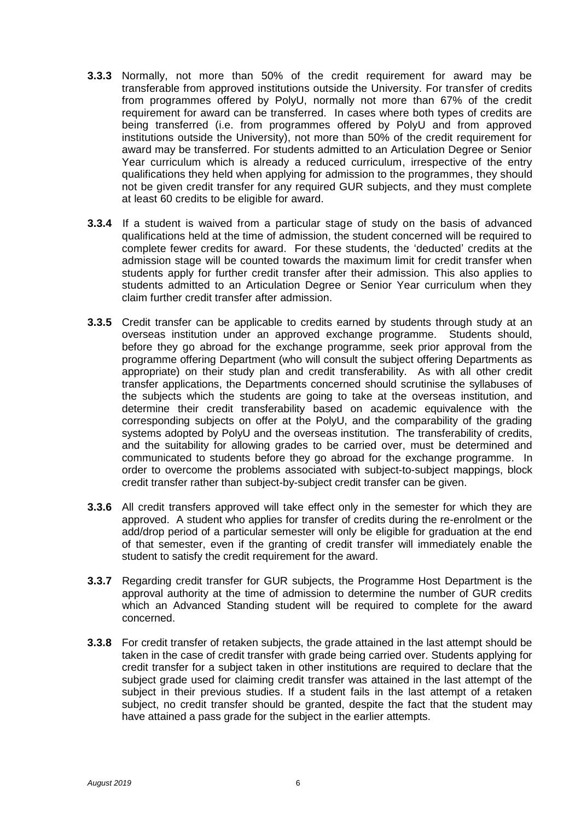- **3.3.3** Normally, not more than 50% of the credit requirement for award may be transferable from approved institutions outside the University. For transfer of credits from programmes offered by PolyU, normally not more than 67% of the credit requirement for award can be transferred. In cases where both types of credits are being transferred (i.e. from programmes offered by PolyU and from approved institutions outside the University), not more than 50% of the credit requirement for award may be transferred. For students admitted to an Articulation Degree or Senior Year curriculum which is already a reduced curriculum, irrespective of the entry qualifications they held when applying for admission to the programmes, they should not be given credit transfer for any required GUR subjects, and they must complete at least 60 credits to be eligible for award.
- **3.3.4** If a student is waived from a particular stage of study on the basis of advanced qualifications held at the time of admission, the student concerned will be required to complete fewer credits for award. For these students, the 'deducted' credits at the admission stage will be counted towards the maximum limit for credit transfer when students apply for further credit transfer after their admission. This also applies to students admitted to an Articulation Degree or Senior Year curriculum when they claim further credit transfer after admission.
- **3.3.5** Credit transfer can be applicable to credits earned by students through study at an overseas institution under an approved exchange programme. Students should, before they go abroad for the exchange programme, seek prior approval from the programme offering Department (who will consult the subject offering Departments as appropriate) on their study plan and credit transferability. As with all other credit transfer applications, the Departments concerned should scrutinise the syllabuses of the subjects which the students are going to take at the overseas institution, and determine their credit transferability based on academic equivalence with the corresponding subjects on offer at the PolyU, and the comparability of the grading systems adopted by PolyU and the overseas institution. The transferability of credits, and the suitability for allowing grades to be carried over, must be determined and communicated to students before they go abroad for the exchange programme. In order to overcome the problems associated with subject-to-subject mappings, block credit transfer rather than subject-by-subject credit transfer can be given.
- **3.3.6** All credit transfers approved will take effect only in the semester for which they are approved. A student who applies for transfer of credits during the re-enrolment or the add/drop period of a particular semester will only be eligible for graduation at the end of that semester, even if the granting of credit transfer will immediately enable the student to satisfy the credit requirement for the award.
- **3.3.7** Regarding credit transfer for GUR subjects, the Programme Host Department is the approval authority at the time of admission to determine the number of GUR credits which an Advanced Standing student will be required to complete for the award concerned.
- **3.3.8** For credit transfer of retaken subjects, the grade attained in the last attempt should be taken in the case of credit transfer with grade being carried over. Students applying for credit transfer for a subject taken in other institutions are required to declare that the subject grade used for claiming credit transfer was attained in the last attempt of the subject in their previous studies. If a student fails in the last attempt of a retaken subject, no credit transfer should be granted, despite the fact that the student may have attained a pass grade for the subject in the earlier attempts.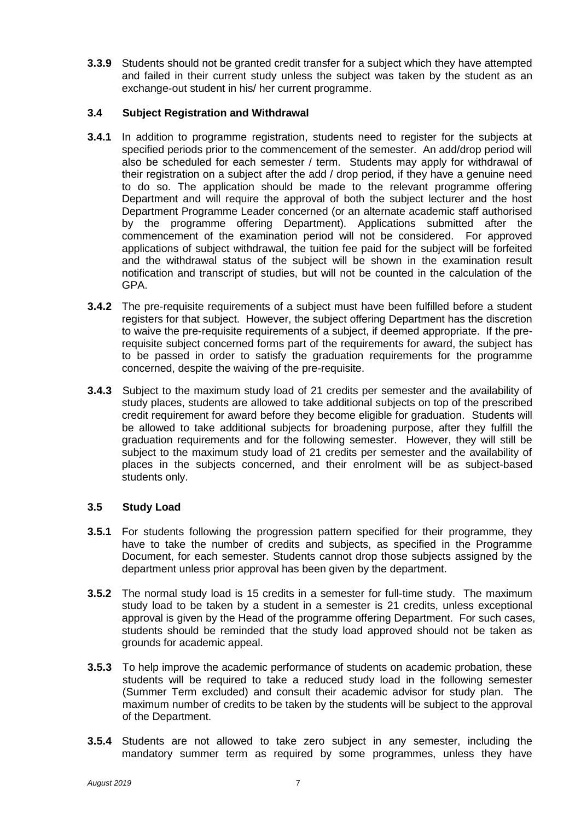**3.3.9** Students should not be granted credit transfer for a subject which they have attempted and failed in their current study unless the subject was taken by the student as an exchange-out student in his/ her current programme.

#### **3.4 Subject Registration and Withdrawal**

- **3.4.1** In addition to programme registration, students need to register for the subjects at specified periods prior to the commencement of the semester. An add/drop period will also be scheduled for each semester / term. Students may apply for withdrawal of their registration on a subject after the add / drop period, if they have a genuine need to do so. The application should be made to the relevant programme offering Department and will require the approval of both the subject lecturer and the host Department Programme Leader concerned (or an alternate academic staff authorised by the programme offering Department). Applications submitted after the commencement of the examination period will not be considered. For approved applications of subject withdrawal, the tuition fee paid for the subject will be forfeited and the withdrawal status of the subject will be shown in the examination result notification and transcript of studies, but will not be counted in the calculation of the GPA.
- **3.4.2** The pre-requisite requirements of a subject must have been fulfilled before a student registers for that subject. However, the subject offering Department has the discretion to waive the pre-requisite requirements of a subject, if deemed appropriate. If the prerequisite subject concerned forms part of the requirements for award, the subject has to be passed in order to satisfy the graduation requirements for the programme concerned, despite the waiving of the pre-requisite.
- **3.4.3** Subject to the maximum study load of 21 credits per semester and the availability of study places, students are allowed to take additional subjects on top of the prescribed credit requirement for award before they become eligible for graduation. Students will be allowed to take additional subjects for broadening purpose, after they fulfill the graduation requirements and for the following semester. However, they will still be subject to the maximum study load of 21 credits per semester and the availability of places in the subjects concerned, and their enrolment will be as subject-based students only.

#### **3.5 Study Load**

- **3.5.1** For students following the progression pattern specified for their programme, they have to take the number of credits and subjects, as specified in the Programme Document, for each semester. Students cannot drop those subjects assigned by the department unless prior approval has been given by the department.
- **3.5.2** The normal study load is 15 credits in a semester for full-time study. The maximum study load to be taken by a student in a semester is 21 credits, unless exceptional approval is given by the Head of the programme offering Department. For such cases, students should be reminded that the study load approved should not be taken as grounds for academic appeal.
- **3.5.3** To help improve the academic performance of students on academic probation, these students will be required to take a reduced study load in the following semester (Summer Term excluded) and consult their academic advisor for study plan. The maximum number of credits to be taken by the students will be subject to the approval of the Department.
- **3.5.4** Students are not allowed to take zero subject in any semester, including the mandatory summer term as required by some programmes, unless they have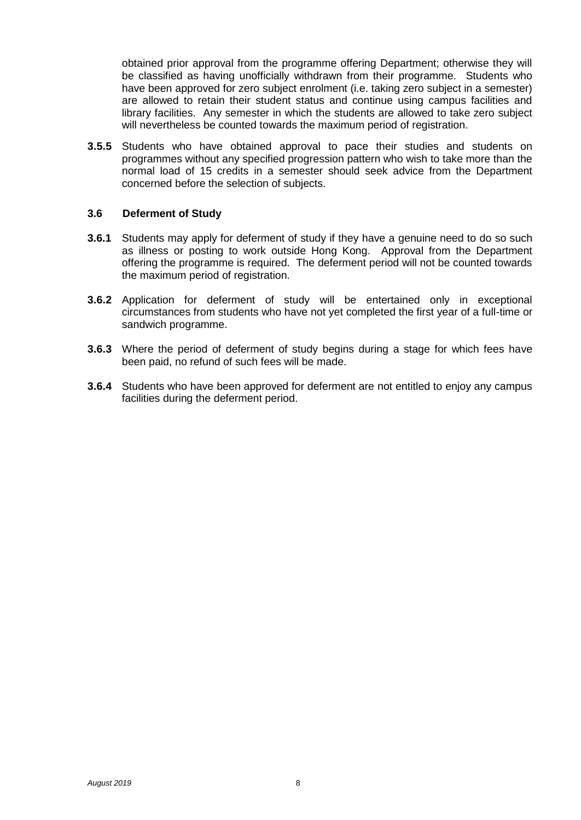obtained prior approval from the programme offering Department; otherwise they will be classified as having unofficially withdrawn from their programme. Students who have been approved for zero subject enrolment (i.e. taking zero subject in a semester) are allowed to retain their student status and continue using campus facilities and library facilities. Any semester in which the students are allowed to take zero subject will nevertheless be counted towards the maximum period of registration.

**3.5.5** Students who have obtained approval to pace their studies and students on programmes without any specified progression pattern who wish to take more than the normal load of 15 credits in a semester should seek advice from the Department concerned before the selection of subjects.

#### **3.6 Deferment of Study**

- **3.6.1** Students may apply for deferment of study if they have a genuine need to do so such as illness or posting to work outside Hong Kong. Approval from the Department offering the programme is required. The deferment period will not be counted towards the maximum period of registration.
- **3.6.2** Application for deferment of study will be entertained only in exceptional circumstances from students who have not yet completed the first year of a full-time or sandwich programme.
- **3.6.3** Where the period of deferment of study begins during a stage for which fees have been paid, no refund of such fees will be made.
- **3.6.4** Students who have been approved for deferment are not entitled to enjoy any campus facilities during the deferment period.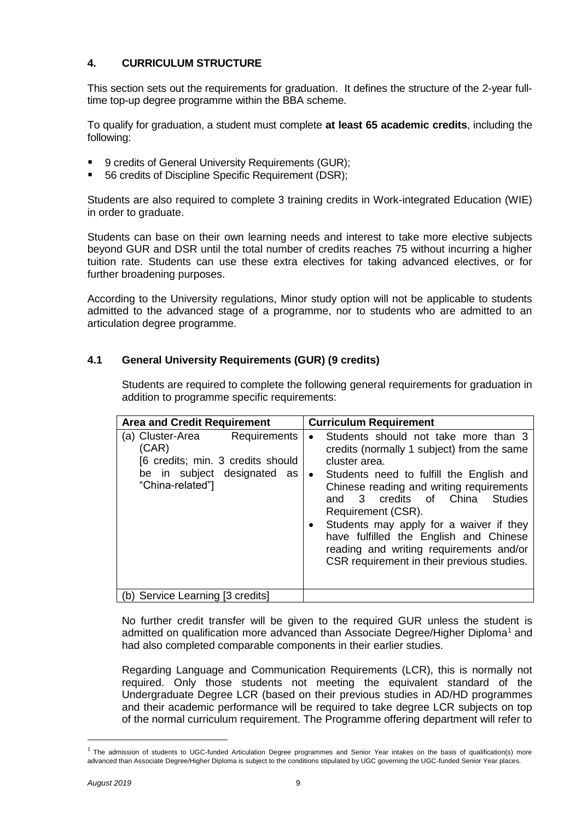#### **4. CURRICULUM STRUCTURE**

This section sets out the requirements for graduation. It defines the structure of the 2-year fulltime top-up degree programme within the BBA scheme.

To qualify for graduation, a student must complete **at least 65 academic credits**, including the following:

- 9 credits of General University Requirements (GUR);
- 56 credits of Discipline Specific Requirement (DSR);

Students are also required to complete 3 training credits in Work-integrated Education (WIE) in order to graduate.

Students can base on their own learning needs and interest to take more elective subjects beyond GUR and DSR until the total number of credits reaches 75 without incurring a higher tuition rate. Students can use these extra electives for taking advanced electives, or for further broadening purposes.

According to the University regulations, Minor study option will not be applicable to students admitted to the advanced stage of a programme, nor to students who are admitted to an articulation degree programme.

#### **4.1 General University Requirements (GUR) (9 credits)**

Students are required to complete the following general requirements for graduation in addition to programme specific requirements:

| <b>Area and Credit Requirement</b>                                                                                                | <b>Curriculum Requirement</b>                                                                                                                                                                                                                                                                                                                                                                                                                  |
|-----------------------------------------------------------------------------------------------------------------------------------|------------------------------------------------------------------------------------------------------------------------------------------------------------------------------------------------------------------------------------------------------------------------------------------------------------------------------------------------------------------------------------------------------------------------------------------------|
| (a) Cluster-Area<br>Requirements<br>(CAR)<br>[6 credits; min. 3 credits should<br>be in subject designated as<br>"China-related"] | Students should not take more than 3<br>$\bullet$<br>credits (normally 1 subject) from the same<br>cluster area.<br>Students need to fulfill the English and<br>Chinese reading and writing requirements<br>and 3 credits of China Studies<br>Requirement (CSR).<br>Students may apply for a waiver if they<br>have fulfilled the English and Chinese<br>reading and writing requirements and/or<br>CSR requirement in their previous studies. |
| (b) Service Learning [3 credits]                                                                                                  |                                                                                                                                                                                                                                                                                                                                                                                                                                                |

No further credit transfer will be given to the required GUR unless the student is admitted on qualification more advanced than Associate Degree/Higher Diploma<sup>1</sup> and had also completed comparable components in their earlier studies.

Regarding Language and Communication Requirements (LCR), this is normally not required. Only those students not meeting the equivalent standard of the Undergraduate Degree LCR (based on their previous studies in AD/HD programmes and their academic performance will be required to take degree LCR subjects on top of the normal curriculum requirement. The Programme offering department will refer to

—<br>—

<sup>&</sup>lt;sup>1</sup> The admission of students to UGC-funded Articulation Degree programmes and Senior Year intakes on the basis of qualification(s) more advanced than Associate Degree/Higher Diploma is subject to the conditions stipulated by UGC governing the UGC-funded Senior Year places.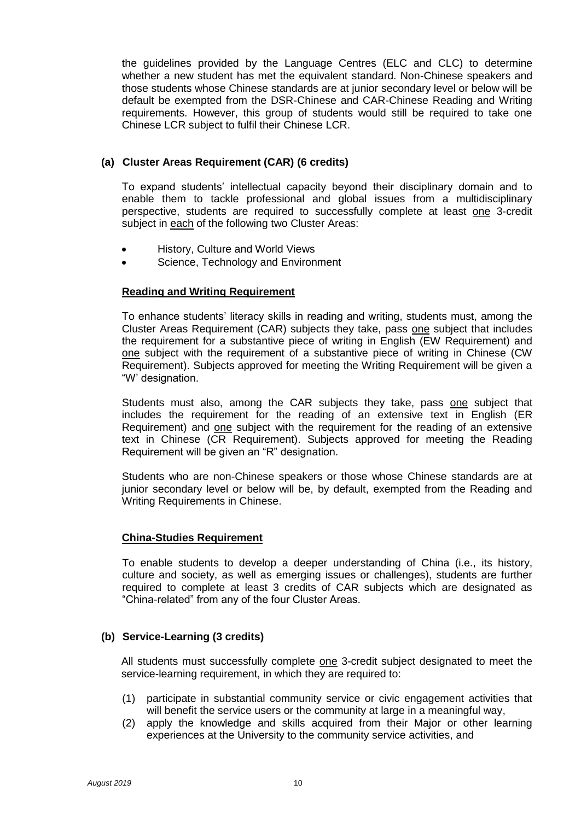the guidelines provided by the Language Centres (ELC and CLC) to determine whether a new student has met the equivalent standard. Non-Chinese speakers and those students whose Chinese standards are at junior secondary level or below will be default be exempted from the DSR-Chinese and CAR-Chinese Reading and Writing requirements. However, this group of students would still be required to take one Chinese LCR subject to fulfil their Chinese LCR.

#### **(a) Cluster Areas Requirement (CAR) (6 credits)**

To expand students' intellectual capacity beyond their disciplinary domain and to enable them to tackle professional and global issues from a multidisciplinary perspective, students are required to successfully complete at least one 3-credit subject in each of the following two Cluster Areas:

- History, Culture and World Views
- Science, Technology and Environment

#### **Reading and Writing Requirement**

To enhance students' literacy skills in reading and writing, students must, among the Cluster Areas Requirement (CAR) subjects they take, pass one subject that includes the requirement for a substantive piece of writing in English (EW Requirement) and one subject with the requirement of a substantive piece of writing in Chinese (CW Requirement). Subjects approved for meeting the Writing Requirement will be given a "W' designation.

Students must also, among the CAR subjects they take, pass one subject that includes the requirement for the reading of an extensive text in English (ER Requirement) and one subject with the requirement for the reading of an extensive text in Chinese (CR Requirement). Subjects approved for meeting the Reading Requirement will be given an "R" designation.

Students who are non-Chinese speakers or those whose Chinese standards are at junior secondary level or below will be, by default, exempted from the Reading and Writing Requirements in Chinese.

#### **China-Studies Requirement**

To enable students to develop a deeper understanding of China (i.e., its history, culture and society, as well as emerging issues or challenges), students are further required to complete at least 3 credits of CAR subjects which are designated as "China-related" from any of the four Cluster Areas.

#### **(b) Service-Learning (3 credits)**

All students must successfully complete one 3-credit subject designated to meet the service-learning requirement, in which they are required to:

- (1) participate in substantial community service or civic engagement activities that will benefit the service users or the community at large in a meaningful way,
- (2) apply the knowledge and skills acquired from their Major or other learning experiences at the University to the community service activities, and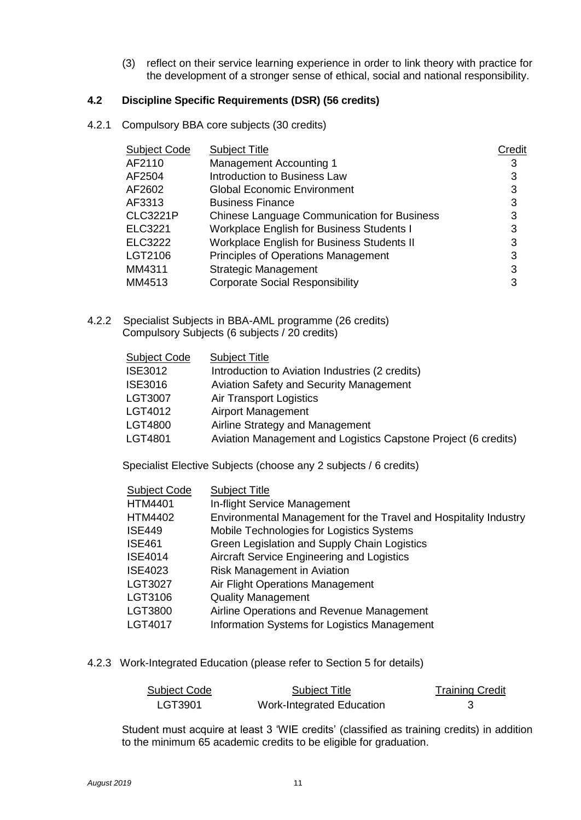(3) reflect on their service learning experience in order to link theory with practice for the development of a stronger sense of ethical, social and national responsibility.

#### **4.2 Discipline Specific Requirements (DSR) (56 credits)**

4.2.1 Compulsory BBA core subjects (30 credits)

| Subject Code    | <b>Subject Title</b>                               | Credit |
|-----------------|----------------------------------------------------|--------|
| AF2110          | <b>Management Accounting 1</b>                     | 3      |
| AF2504          | <b>Introduction to Business Law</b>                | 3      |
| AF2602          | <b>Global Economic Environment</b>                 | 3      |
| AF3313          | <b>Business Finance</b>                            | 3      |
| <b>CLC3221P</b> | <b>Chinese Language Communication for Business</b> | 3      |
| ELC3221         | <b>Workplace English for Business Students I</b>   | 3      |
| ELC3222         | <b>Workplace English for Business Students II</b>  | 3      |
| LGT2106         | <b>Principles of Operations Management</b>         | 3      |
| MM4311          | <b>Strategic Management</b>                        | 3      |
| MM4513          | <b>Corporate Social Responsibility</b>             | 3      |

4.2.2 Specialist Subjects in BBA-AML programme (26 credits) Compulsory Subjects (6 subjects / 20 credits)

| <b>Subject Code</b> | <b>Subject Title</b>                                           |
|---------------------|----------------------------------------------------------------|
| <b>ISE3012</b>      | Introduction to Aviation Industries (2 credits)                |
| <b>ISE3016</b>      | <b>Aviation Safety and Security Management</b>                 |
| <b>LGT3007</b>      | <b>Air Transport Logistics</b>                                 |
| LGT4012             | <b>Airport Management</b>                                      |
| LGT4800             | Airline Strategy and Management                                |
| LGT4801             | Aviation Management and Logistics Capstone Project (6 credits) |

Specialist Elective Subjects (choose any 2 subjects / 6 credits)

| <b>Subject Code</b> | <b>Subject Title</b>                                             |
|---------------------|------------------------------------------------------------------|
| <b>HTM4401</b>      | In-flight Service Management                                     |
| <b>HTM4402</b>      | Environmental Management for the Travel and Hospitality Industry |
| <b>ISE449</b>       | Mobile Technologies for Logistics Systems                        |
| <b>ISE461</b>       | Green Legislation and Supply Chain Logistics                     |
| <b>ISE4014</b>      | Aircraft Service Engineering and Logistics                       |
| <b>ISE4023</b>      | Risk Management in Aviation                                      |
| <b>LGT3027</b>      | Air Flight Operations Management                                 |
| LGT3106             | <b>Quality Management</b>                                        |
| LGT3800             | Airline Operations and Revenue Management                        |
| LGT4017             | Information Systems for Logistics Management                     |

4.2.3 Work-Integrated Education (please refer to Section 5 for details)

| <b>Subject Code</b> | Subject Title                    | <b>Training Credit</b> |
|---------------------|----------------------------------|------------------------|
| LGT3901             | <b>Work-Integrated Education</b> |                        |

Student must acquire at least 3 'WIE credits' (classified as training credits) in addition to the minimum 65 academic credits to be eligible for graduation.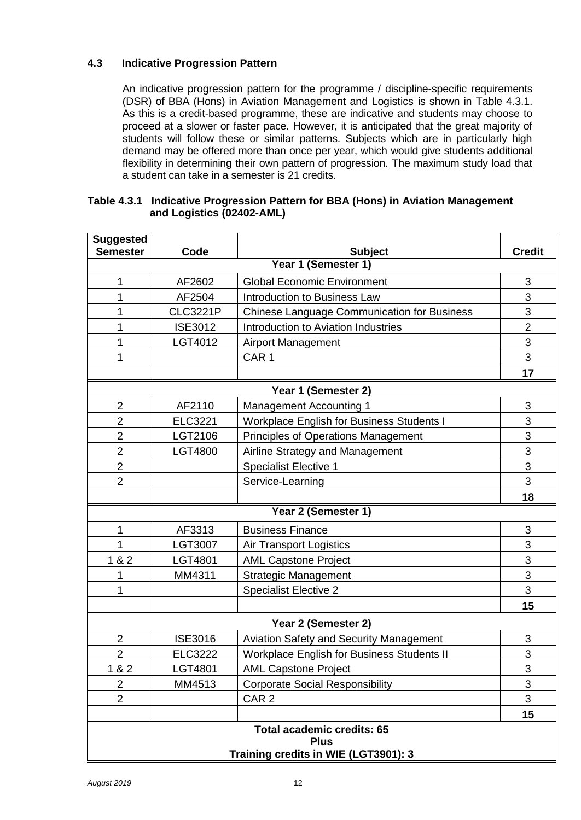#### **4.3 Indicative Progression Pattern**

An indicative progression pattern for the programme / discipline-specific requirements (DSR) of BBA (Hons) in Aviation Management and Logistics is shown in Table 4.3.1. As this is a credit-based programme, these are indicative and students may choose to proceed at a slower or faster pace. However, it is anticipated that the great majority of students will follow these or similar patterns. Subjects which are in particularly high demand may be offered more than once per year, which would give students additional flexibility in determining their own pattern of progression. The maximum study load that a student can take in a semester is 21 credits.

#### **Table 4.3.1 Indicative Progression Pattern for BBA (Hons) in Aviation Management and Logistics (02402-AML)**

| <b>Suggested</b><br><b>Semester</b>  | Code            | <b>Subject</b>                                     | <b>Credit</b>  |  |  |
|--------------------------------------|-----------------|----------------------------------------------------|----------------|--|--|
| Year 1 (Semester 1)                  |                 |                                                    |                |  |  |
| 1                                    | AF2602          | <b>Global Economic Environment</b>                 | 3              |  |  |
| 1                                    | AF2504          | <b>Introduction to Business Law</b>                | 3              |  |  |
| 1                                    | <b>CLC3221P</b> | <b>Chinese Language Communication for Business</b> | 3              |  |  |
| 1                                    | <b>ISE3012</b>  | Introduction to Aviation Industries                | $\overline{2}$ |  |  |
| 1                                    | LGT4012         | <b>Airport Management</b>                          | 3              |  |  |
| 1                                    |                 | CAR <sub>1</sub>                                   | 3              |  |  |
|                                      |                 |                                                    | 17             |  |  |
|                                      |                 | Year 1 (Semester 2)                                |                |  |  |
| $\overline{2}$                       | AF2110          | <b>Management Accounting 1</b>                     | 3              |  |  |
| $\overline{2}$                       | <b>ELC3221</b>  | <b>Workplace English for Business Students I</b>   | 3              |  |  |
| $\overline{2}$                       | LGT2106         | <b>Principles of Operations Management</b>         | 3              |  |  |
| $\overline{2}$                       | <b>LGT4800</b>  | Airline Strategy and Management                    | 3              |  |  |
| $\overline{2}$                       |                 | <b>Specialist Elective 1</b>                       | 3              |  |  |
| $\overline{2}$                       |                 | Service-Learning                                   | 3              |  |  |
|                                      |                 |                                                    | 18             |  |  |
|                                      |                 | Year 2 (Semester 1)                                |                |  |  |
| 1                                    | AF3313          | <b>Business Finance</b>                            | 3              |  |  |
| 1                                    | LGT3007         | <b>Air Transport Logistics</b>                     | 3              |  |  |
| 182                                  | LGT4801         | <b>AML Capstone Project</b>                        | 3              |  |  |
| 1                                    | MM4311          | <b>Strategic Management</b>                        | 3              |  |  |
| 1                                    |                 | <b>Specialist Elective 2</b>                       | 3              |  |  |
|                                      |                 |                                                    | 15             |  |  |
|                                      |                 | Year 2 (Semester 2)                                |                |  |  |
| 2                                    | <b>ISE3016</b>  | Aviation Safety and Security Management            | 3              |  |  |
| 2                                    | <b>ELC3222</b>  | <b>Workplace English for Business Students II</b>  | 3              |  |  |
| 1 & 2                                | LGT4801         | <b>AML Capstone Project</b>                        | 3              |  |  |
| 2                                    | MM4513          | <b>Corporate Social Responsibility</b>             | 3              |  |  |
| $\overline{2}$                       |                 | CAR <sub>2</sub>                                   | 3              |  |  |
|                                      |                 |                                                    | 15             |  |  |
| <b>Total academic credits: 65</b>    |                 |                                                    |                |  |  |
| <b>Plus</b>                          |                 |                                                    |                |  |  |
| Training credits in WIE (LGT3901): 3 |                 |                                                    |                |  |  |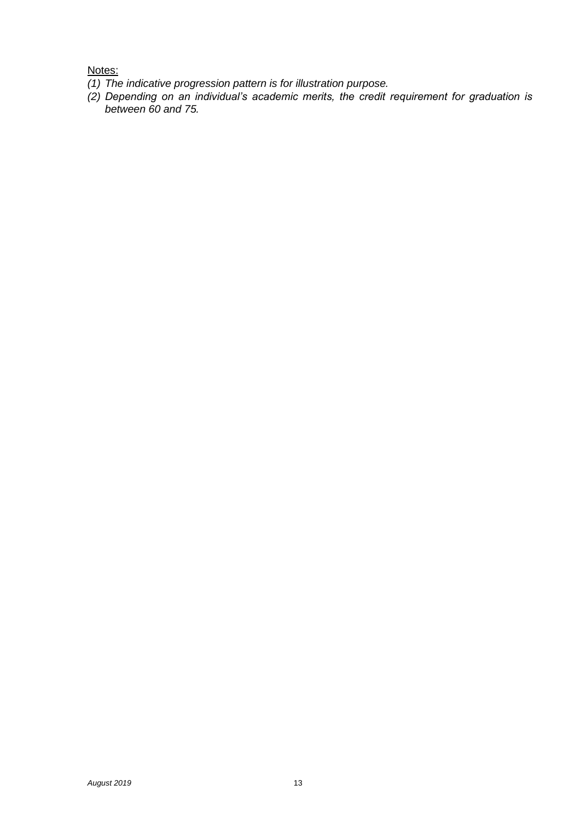Notes:

- *(1) The indicative progression pattern is for illustration purpose.*
- *(2) Depending on an individual's academic merits, the credit requirement for graduation is between 60 and 75.*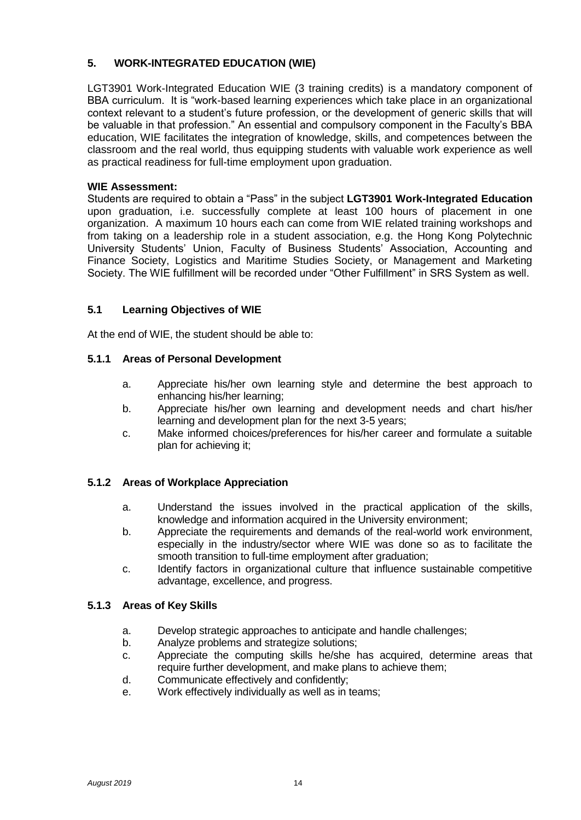#### **5. WORK-INTEGRATED EDUCATION (WIE)**

LGT3901 Work-Integrated Education WIE (3 training credits) is a mandatory component of BBA curriculum. It is "work-based learning experiences which take place in an organizational context relevant to a student's future profession, or the development of generic skills that will be valuable in that profession." An essential and compulsory component in the Faculty's BBA education, WIE facilitates the integration of knowledge, skills, and competences between the classroom and the real world, thus equipping students with valuable work experience as well as practical readiness for full-time employment upon graduation.

#### **WIE Assessment:**

Students are required to obtain a "Pass" in the subject **LGT3901 Work-Integrated Education** upon graduation, i.e. successfully complete at least 100 hours of placement in one organization. A maximum 10 hours each can come from WIE related training workshops and from taking on a leadership role in a student association, e.g. the Hong Kong Polytechnic University Students' Union, Faculty of Business Students' Association, Accounting and Finance Society, Logistics and Maritime Studies Society, or Management and Marketing Society. The WIE fulfillment will be recorded under "Other Fulfillment" in SRS System as well.

#### **5.1 Learning Objectives of WIE**

At the end of WIE, the student should be able to:

#### **5.1.1 Areas of Personal Development**

- a. Appreciate his/her own learning style and determine the best approach to enhancing his/her learning;
- b. Appreciate his/her own learning and development needs and chart his/her learning and development plan for the next 3-5 years;
- c. Make informed choices/preferences for his/her career and formulate a suitable plan for achieving it;

#### **5.1.2 Areas of Workplace Appreciation**

- a. Understand the issues involved in the practical application of the skills, knowledge and information acquired in the University environment;
- b. Appreciate the requirements and demands of the real-world work environment, especially in the industry/sector where WIE was done so as to facilitate the smooth transition to full-time employment after graduation;
- c. Identify factors in organizational culture that influence sustainable competitive advantage, excellence, and progress.

#### **5.1.3 Areas of Key Skills**

- a. Develop strategic approaches to anticipate and handle challenges;
- b. Analyze problems and strategize solutions;
- c. Appreciate the computing skills he/she has acquired, determine areas that require further development, and make plans to achieve them;
- d. Communicate effectively and confidently;
- e. Work effectively individually as well as in teams;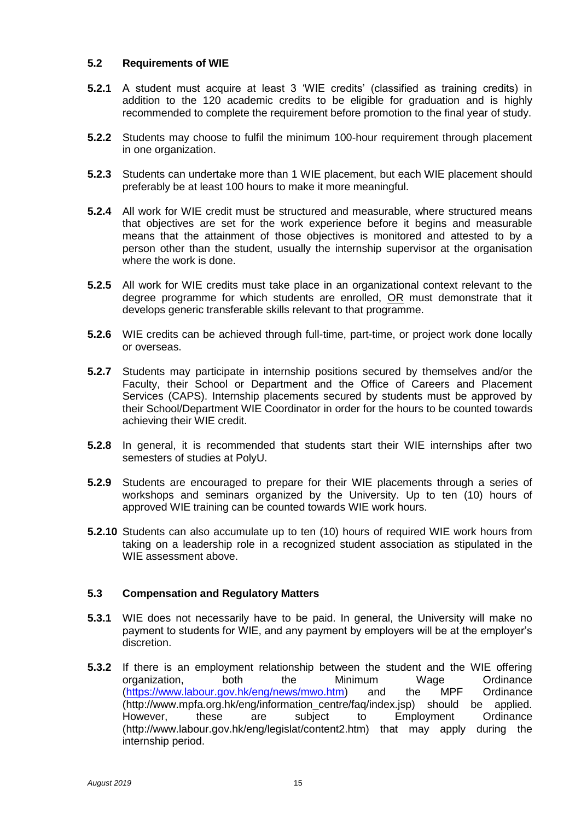#### **5.2 Requirements of WIE**

- **5.2.1** A student must acquire at least 3 'WIE credits' (classified as training credits) in addition to the 120 academic credits to be eligible for graduation and is highly recommended to complete the requirement before promotion to the final year of study.
- **5.2.2** Students may choose to fulfil the minimum 100-hour requirement through placement in one organization.
- **5.2.3** Students can undertake more than 1 WIE placement, but each WIE placement should preferably be at least 100 hours to make it more meaningful.
- **5.2.4** All work for WIE credit must be structured and measurable, where structured means that objectives are set for the work experience before it begins and measurable means that the attainment of those objectives is monitored and attested to by a person other than the student, usually the internship supervisor at the organisation where the work is done.
- **5.2.5** All work for WIE credits must take place in an organizational context relevant to the degree programme for which students are enrolled, OR must demonstrate that it develops generic transferable skills relevant to that programme.
- **5.2.6** WIE credits can be achieved through full-time, part-time, or project work done locally or overseas.
- **5.2.7** Students may participate in internship positions secured by themselves and/or the Faculty, their School or Department and the Office of Careers and Placement Services (CAPS). Internship placements secured by students must be approved by their School/Department WIE Coordinator in order for the hours to be counted towards achieving their WIE credit.
- **5.2.8** In general, it is recommended that students start their WIE internships after two semesters of studies at PolyU.
- **5.2.9** Students are encouraged to prepare for their WIE placements through a series of workshops and seminars organized by the University. Up to ten (10) hours of approved WIE training can be counted towards WIE work hours.
- **5.2.10** Students can also accumulate up to ten (10) hours of required WIE work hours from taking on a leadership role in a recognized student association as stipulated in the WIE assessment above.

#### **5.3 Compensation and Regulatory Matters**

- **5.3.1** WIE does not necessarily have to be paid. In general, the University will make no payment to students for WIE, and any payment by employers will be at the employer's discretion.
- **5.3.2** If there is an employment relationship between the student and the WIE offering organization, both the Minimum Wage Ordinance [\(https://www.labour.gov.hk/eng/news/mwo.htm\)](https://www.labour.gov.hk/eng/news/mwo.htm) and the MPF Ordinance (http://www.mpfa.org.hk/eng/information\_centre/faq/index.jsp) should be applied. However, these are subject to Employment Ordinance (http://www.labour.gov.hk/eng/legislat/content2.htm) that may apply during the internship period.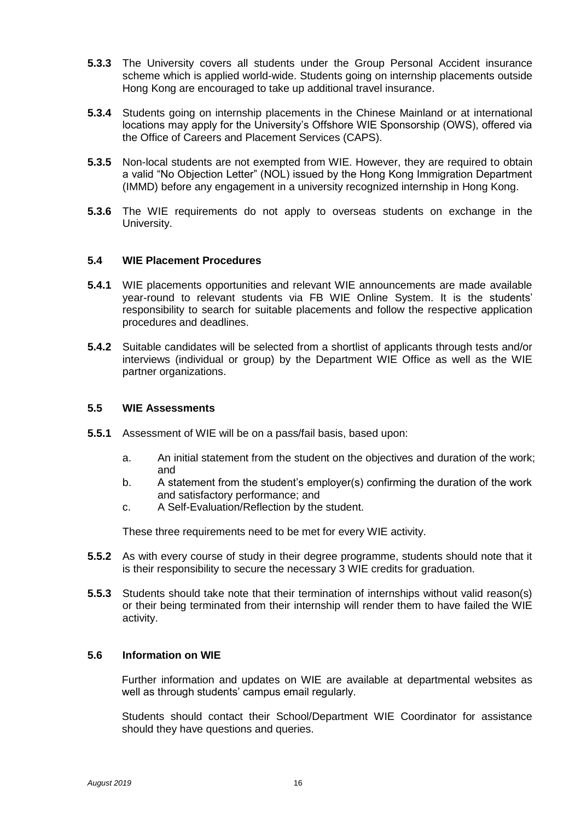- **5.3.3** The University covers all students under the Group Personal Accident insurance scheme which is applied world-wide. Students going on internship placements outside Hong Kong are encouraged to take up additional travel insurance.
- **5.3.4** Students going on internship placements in the Chinese Mainland or at international locations may apply for the University's Offshore WIE Sponsorship (OWS), offered via the Office of Careers and Placement Services (CAPS).
- **5.3.5** Non-local students are not exempted from WIE. However, they are required to obtain a valid "No Objection Letter" (NOL) issued by the Hong Kong Immigration Department (IMMD) before any engagement in a university recognized internship in Hong Kong.
- **5.3.6** The WIE requirements do not apply to overseas students on exchange in the University.

#### **5.4 WIE Placement Procedures**

- **5.4.1** WIE placements opportunities and relevant WIE announcements are made available year-round to relevant students via FB WIE Online System. It is the students' responsibility to search for suitable placements and follow the respective application procedures and deadlines.
- **5.4.2** Suitable candidates will be selected from a shortlist of applicants through tests and/or interviews (individual or group) by the Department WIE Office as well as the WIE partner organizations.

#### **5.5 WIE Assessments**

- **5.5.1** Assessment of WIE will be on a pass/fail basis, based upon:
	- a. An initial statement from the student on the objectives and duration of the work; and
	- b. A statement from the student's employer(s) confirming the duration of the work and satisfactory performance; and
	- c. A Self-Evaluation/Reflection by the student.

These three requirements need to be met for every WIE activity.

- **5.5.2** As with every course of study in their degree programme, students should note that it is their responsibility to secure the necessary 3 WIE credits for graduation.
- **5.5.3** Students should take note that their termination of internships without valid reason(s) or their being terminated from their internship will render them to have failed the WIE activity.

#### **5.6 Information on WIE**

Further information and updates on WIE are available at departmental websites as well as through students' campus email regularly.

Students should contact their School/Department WIE Coordinator for assistance should they have questions and queries.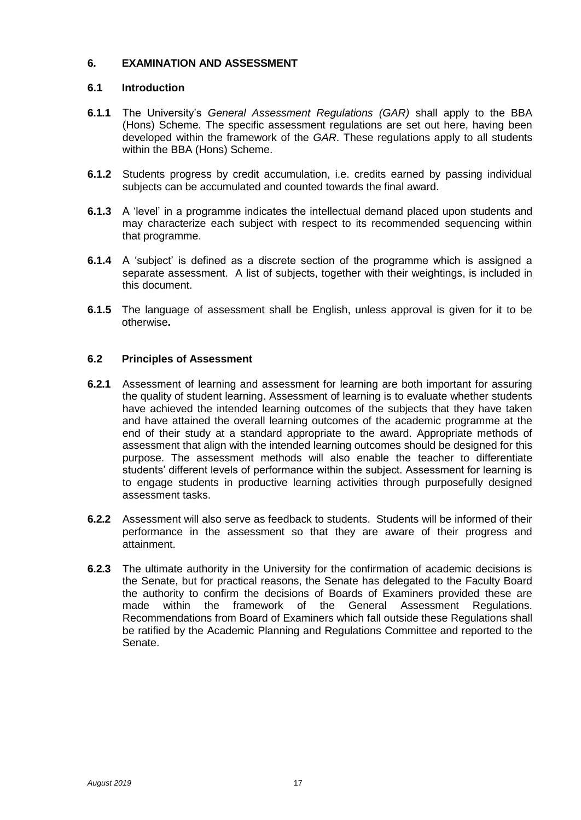#### **6. EXAMINATION AND ASSESSMENT**

#### **6.1 Introduction**

- **6.1.1** The University's *General Assessment Regulations (GAR)* shall apply to the BBA (Hons) Scheme. The specific assessment regulations are set out here, having been developed within the framework of the *GAR*. These regulations apply to all students within the BBA (Hons) Scheme.
- **6.1.2** Students progress by credit accumulation, i.e. credits earned by passing individual subjects can be accumulated and counted towards the final award.
- **6.1.3** A 'level' in a programme indicates the intellectual demand placed upon students and may characterize each subject with respect to its recommended sequencing within that programme.
- **6.1.4** A 'subject' is defined as a discrete section of the programme which is assigned a separate assessment. A list of subjects, together with their weightings, is included in this document.
- **6.1.5** The language of assessment shall be English, unless approval is given for it to be otherwise**.**

#### **6.2 Principles of Assessment**

- **6.2.1** Assessment of learning and assessment for learning are both important for assuring the quality of student learning. Assessment of learning is to evaluate whether students have achieved the intended learning outcomes of the subjects that they have taken and have attained the overall learning outcomes of the academic programme at the end of their study at a standard appropriate to the award. Appropriate methods of assessment that align with the intended learning outcomes should be designed for this purpose. The assessment methods will also enable the teacher to differentiate students' different levels of performance within the subject. Assessment for learning is to engage students in productive learning activities through purposefully designed assessment tasks.
- **6.2.2** Assessment will also serve as feedback to students. Students will be informed of their performance in the assessment so that they are aware of their progress and attainment.
- **6.2.3** The ultimate authority in the University for the confirmation of academic decisions is the Senate, but for practical reasons, the Senate has delegated to the Faculty Board the authority to confirm the decisions of Boards of Examiners provided these are made within the framework of the General Assessment Regulations. Recommendations from Board of Examiners which fall outside these Regulations shall be ratified by the Academic Planning and Regulations Committee and reported to the Senate.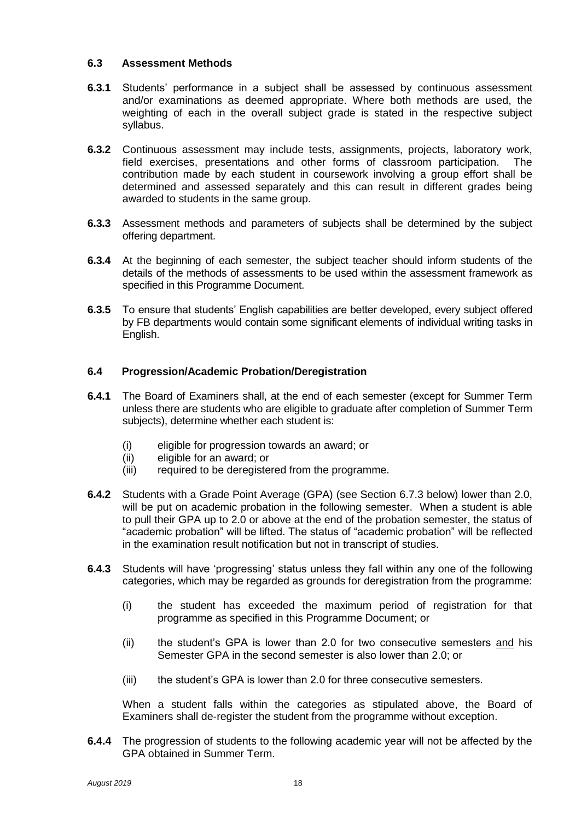#### **6.3 Assessment Methods**

- **6.3.1** Students' performance in a subject shall be assessed by continuous assessment and/or examinations as deemed appropriate. Where both methods are used, the weighting of each in the overall subject grade is stated in the respective subject syllabus.
- **6.3.2** Continuous assessment may include tests, assignments, projects, laboratory work, field exercises, presentations and other forms of classroom participation. The contribution made by each student in coursework involving a group effort shall be determined and assessed separately and this can result in different grades being awarded to students in the same group.
- **6.3.3** Assessment methods and parameters of subjects shall be determined by the subject offering department.
- **6.3.4** At the beginning of each semester, the subject teacher should inform students of the details of the methods of assessments to be used within the assessment framework as specified in this Programme Document.
- **6.3.5** To ensure that students' English capabilities are better developed, every subject offered by FB departments would contain some significant elements of individual writing tasks in English.

#### **6.4 Progression/Academic Probation/Deregistration**

- **6.4.1** The Board of Examiners shall, at the end of each semester (except for Summer Term unless there are students who are eligible to graduate after completion of Summer Term subjects), determine whether each student is:
	- (i) eligible for progression towards an award; or
	- (ii) eligible for an award; or
	- (iii) required to be deregistered from the programme.
- **6.4.2** Students with a Grade Point Average (GPA) (see Section 6.7.3 below) lower than 2.0, will be put on academic probation in the following semester. When a student is able to pull their GPA up to 2.0 or above at the end of the probation semester, the status of "academic probation" will be lifted. The status of "academic probation" will be reflected in the examination result notification but not in transcript of studies.
- **6.4.3** Students will have 'progressing' status unless they fall within any one of the following categories, which may be regarded as grounds for deregistration from the programme:
	- (i) the student has exceeded the maximum period of registration for that programme as specified in this Programme Document; or
	- (ii) the student's GPA is lower than 2.0 for two consecutive semesters and his Semester GPA in the second semester is also lower than 2.0; or
	- (iii) the student's GPA is lower than 2.0 for three consecutive semesters.

When a student falls within the categories as stipulated above, the Board of Examiners shall de-register the student from the programme without exception.

**6.4.4** The progression of students to the following academic year will not be affected by the GPA obtained in Summer Term.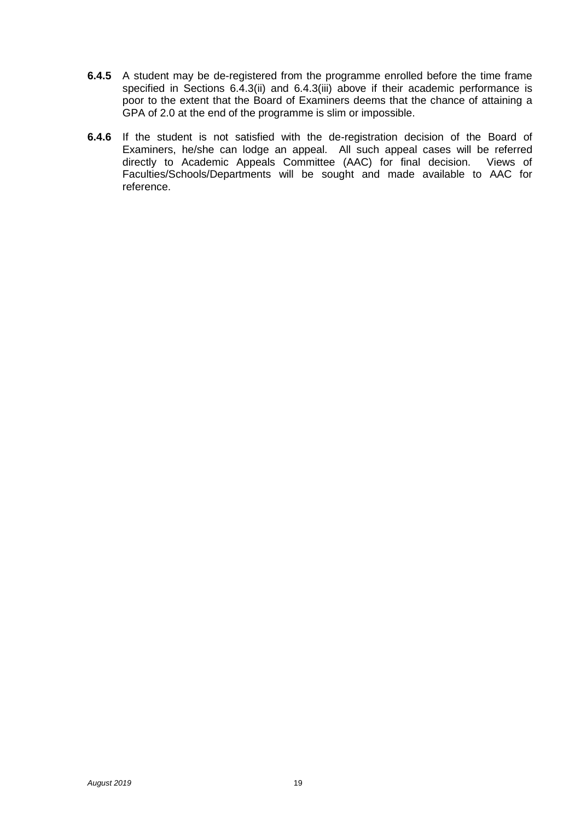- **6.4.5** A student may be de-registered from the programme enrolled before the time frame specified in Sections 6.4.3(ii) and 6.4.3(iii) above if their academic performance is poor to the extent that the Board of Examiners deems that the chance of attaining a GPA of 2.0 at the end of the programme is slim or impossible.
- **6.4.6** If the student is not satisfied with the de-registration decision of the Board of Examiners, he/she can lodge an appeal. All such appeal cases will be referred directly to Academic Appeals Committee (AAC) for final decision. Views of Faculties/Schools/Departments will be sought and made available to AAC for reference.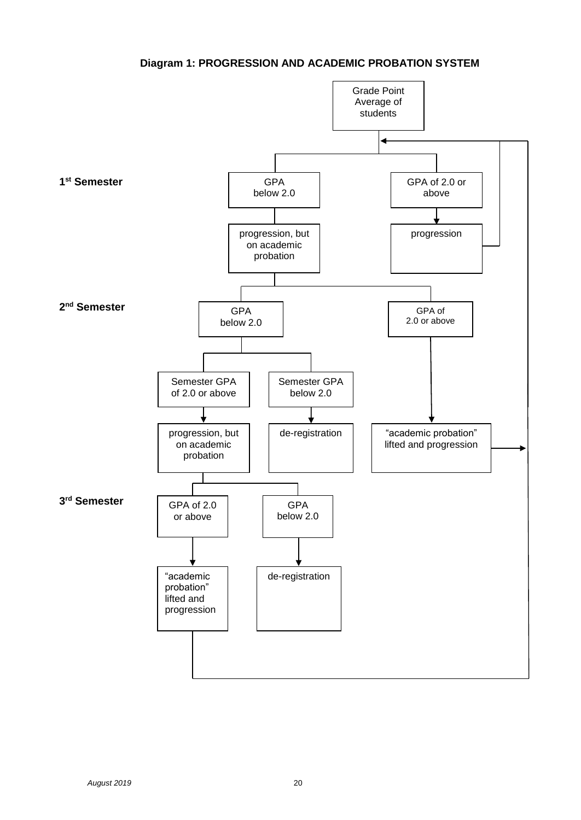#### **Diagram 1: PROGRESSION AND ACADEMIC PROBATION SYSTEM**

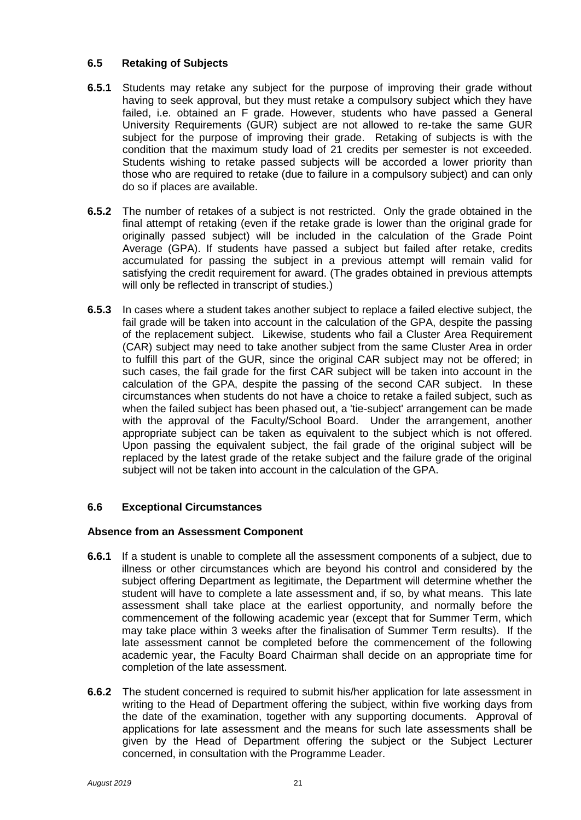#### **6.5 Retaking of Subjects**

- **6.5.1** Students may retake any subject for the purpose of improving their grade without having to seek approval, but they must retake a compulsory subject which they have failed, i.e. obtained an F grade. However, students who have passed a General University Requirements (GUR) subject are not allowed to re-take the same GUR subject for the purpose of improving their grade. Retaking of subjects is with the condition that the maximum study load of 21 credits per semester is not exceeded. Students wishing to retake passed subjects will be accorded a lower priority than those who are required to retake (due to failure in a compulsory subject) and can only do so if places are available.
- **6.5.2** The number of retakes of a subject is not restricted. Only the grade obtained in the final attempt of retaking (even if the retake grade is lower than the original grade for originally passed subject) will be included in the calculation of the Grade Point Average (GPA). If students have passed a subject but failed after retake, credits accumulated for passing the subject in a previous attempt will remain valid for satisfying the credit requirement for award. (The grades obtained in previous attempts will only be reflected in transcript of studies.)
- **6.5.3** In cases where a student takes another subject to replace a failed elective subject, the fail grade will be taken into account in the calculation of the GPA, despite the passing of the replacement subject. Likewise, students who fail a Cluster Area Requirement (CAR) subject may need to take another subject from the same Cluster Area in order to fulfill this part of the GUR, since the original CAR subject may not be offered; in such cases, the fail grade for the first CAR subject will be taken into account in the calculation of the GPA, despite the passing of the second CAR subject. In these circumstances when students do not have a choice to retake a failed subject, such as when the failed subject has been phased out, a 'tie-subject' arrangement can be made with the approval of the Faculty/School Board. Under the arrangement, another appropriate subject can be taken as equivalent to the subject which is not offered. Upon passing the equivalent subject, the fail grade of the original subject will be replaced by the latest grade of the retake subject and the failure grade of the original subject will not be taken into account in the calculation of the GPA.

#### **6.6 Exceptional Circumstances**

#### **Absence from an Assessment Component**

- **6.6.1** If a student is unable to complete all the assessment components of a subject, due to illness or other circumstances which are beyond his control and considered by the subject offering Department as legitimate, the Department will determine whether the student will have to complete a late assessment and, if so, by what means. This late assessment shall take place at the earliest opportunity, and normally before the commencement of the following academic year (except that for Summer Term, which may take place within 3 weeks after the finalisation of Summer Term results). If the late assessment cannot be completed before the commencement of the following academic year, the Faculty Board Chairman shall decide on an appropriate time for completion of the late assessment.
- **6.6.2** The student concerned is required to submit his/her application for late assessment in writing to the Head of Department offering the subject, within five working days from the date of the examination, together with any supporting documents. Approval of applications for late assessment and the means for such late assessments shall be given by the Head of Department offering the subject or the Subject Lecturer concerned, in consultation with the Programme Leader.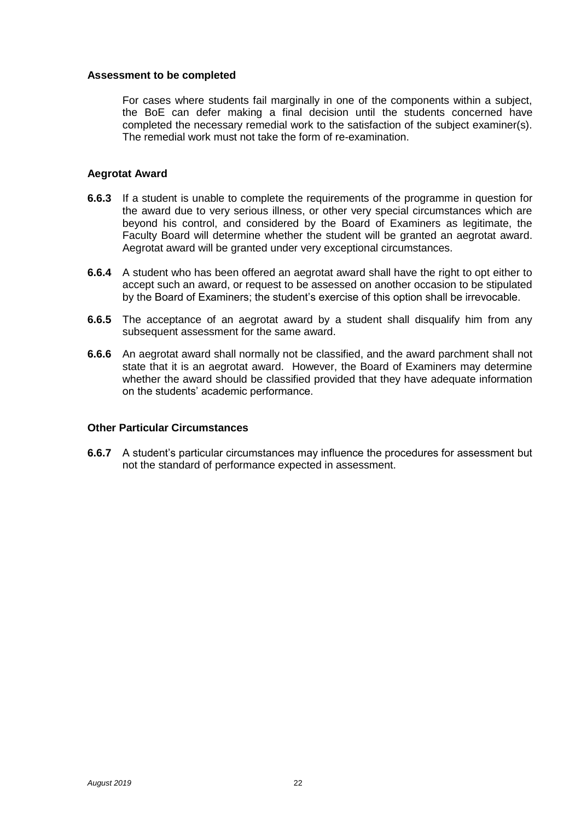#### **Assessment to be completed**

For cases where students fail marginally in one of the components within a subject, the BoE can defer making a final decision until the students concerned have completed the necessary remedial work to the satisfaction of the subject examiner(s). The remedial work must not take the form of re-examination.

#### **Aegrotat Award**

- **6.6.3** If a student is unable to complete the requirements of the programme in question for the award due to very serious illness, or other very special circumstances which are beyond his control, and considered by the Board of Examiners as legitimate, the Faculty Board will determine whether the student will be granted an aegrotat award. Aegrotat award will be granted under very exceptional circumstances.
- **6.6.4** A student who has been offered an aegrotat award shall have the right to opt either to accept such an award, or request to be assessed on another occasion to be stipulated by the Board of Examiners; the student's exercise of this option shall be irrevocable.
- **6.6.5** The acceptance of an aegrotat award by a student shall disqualify him from any subsequent assessment for the same award.
- **6.6.6** An aegrotat award shall normally not be classified, and the award parchment shall not state that it is an aegrotat award. However, the Board of Examiners may determine whether the award should be classified provided that they have adequate information on the students' academic performance.

#### **Other Particular Circumstances**

**6.6.7** A student's particular circumstances may influence the procedures for assessment but not the standard of performance expected in assessment.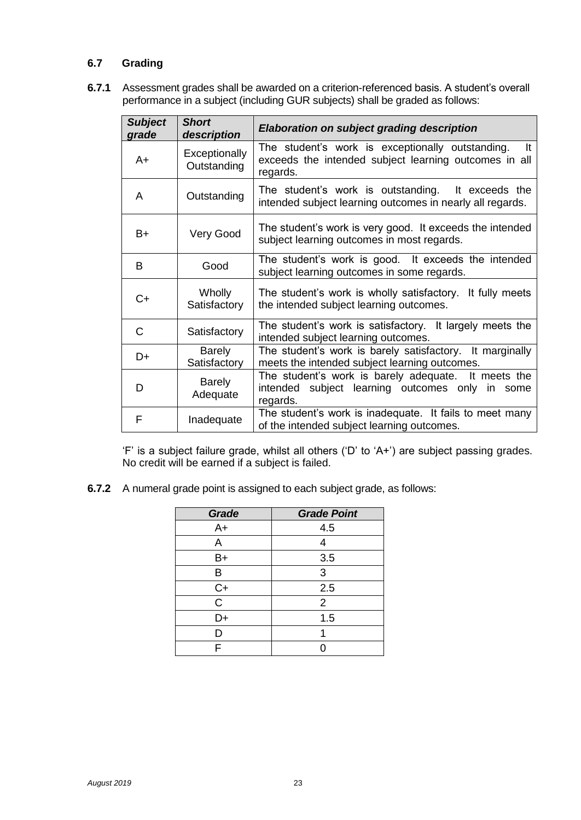#### **6.7 Grading**

**6.7.1** Assessment grades shall be awarded on a criterion-referenced basis. A student's overall performance in a subject (including GUR subjects) shall be graded as follows:

| <b>Subject</b><br>grade | <b>Short</b><br>description   | Elaboration on subject grading description                                                                                  |
|-------------------------|-------------------------------|-----------------------------------------------------------------------------------------------------------------------------|
| $A+$                    | Exceptionally<br>Outstanding  | The student's work is exceptionally outstanding.<br>It<br>exceeds the intended subject learning outcomes in all<br>regards. |
| A                       | Outstanding                   | The student's work is outstanding.<br>It exceeds the<br>intended subject learning outcomes in nearly all regards.           |
| B+                      | Very Good                     | The student's work is very good. It exceeds the intended<br>subject learning outcomes in most regards.                      |
| B                       | Good                          | The student's work is good. It exceeds the intended<br>subject learning outcomes in some regards.                           |
| C+                      | Wholly<br>Satisfactory        | The student's work is wholly satisfactory. It fully meets<br>the intended subject learning outcomes.                        |
| C                       | Satisfactory                  | The student's work is satisfactory. It largely meets the<br>intended subject learning outcomes.                             |
| D+                      | <b>Barely</b><br>Satisfactory | The student's work is barely satisfactory. It marginally<br>meets the intended subject learning outcomes.                   |
| D                       | <b>Barely</b><br>Adequate     | The student's work is barely adequate. It meets the<br>intended subject learning outcomes only in some<br>regards.          |
| F                       | Inadequate                    | The student's work is inadequate. It fails to meet many<br>of the intended subject learning outcomes.                       |

'F' is a subject failure grade, whilst all others ('D' to 'A+') are subject passing grades. No credit will be earned if a subject is failed.

**6.7.2** A numeral grade point is assigned to each subject grade, as follows:

| Grade       | <b>Grade Point</b> |
|-------------|--------------------|
| $A+$        | 4.5                |
| Α           | Δ                  |
| B+          | 3.5                |
| B           | 3                  |
| $C+$        | 2.5                |
| $\mathsf C$ | 2                  |
| D+          | 1.5                |
| D           |                    |
| F           |                    |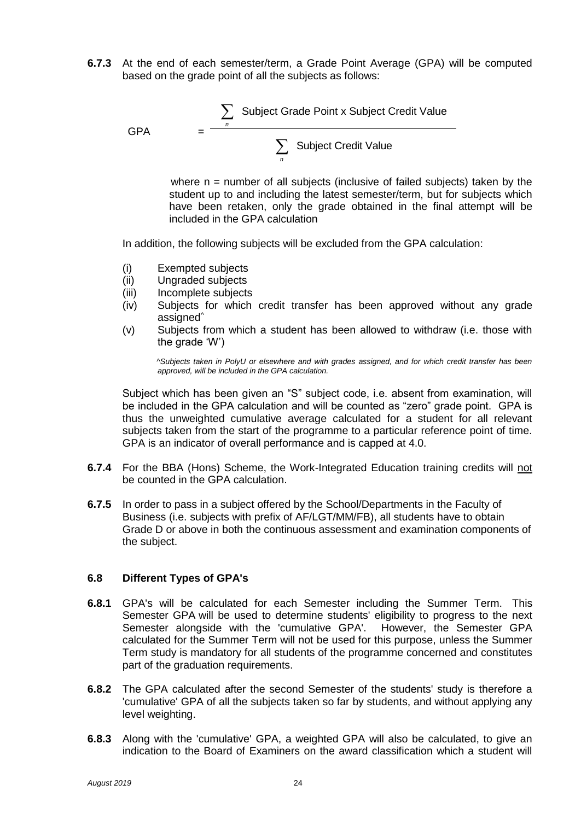**6.7.3** At the end of each semester/term, a Grade Point Average (GPA) will be computed based on the grade point of all the subjects as follows:

GPA = 
$$
\frac{\sum_{n} \text{Subject Grade Point x Subject Credit Value}}{\sum_{n} \text{Subject Credit Value}}
$$

where  $n =$  number of all subjects (inclusive of failed subjects) taken by the student up to and including the latest semester/term, but for subjects which have been retaken, only the grade obtained in the final attempt will be included in the GPA calculation

In addition, the following subjects will be excluded from the GPA calculation:

- (i) Exempted subjects
- (ii) Ungraded subjects
- (iii) Incomplete subjects
- (iv) Subjects for which credit transfer has been approved without any grade assigned<sup>^</sup>
- (v) Subjects from which a student has been allowed to withdraw (i.e. those with the grade 'W')

*^Subjects taken in PolyU or elsewhere and with grades assigned, and for which credit transfer has been approved, will be included in the GPA calculation.*

Subject which has been given an "S" subject code, i.e. absent from examination, will be included in the GPA calculation and will be counted as "zero" grade point. GPA is thus the unweighted cumulative average calculated for a student for all relevant subjects taken from the start of the programme to a particular reference point of time. GPA is an indicator of overall performance and is capped at 4.0.

- **6.7.4** For the BBA (Hons) Scheme, the Work-Integrated Education training credits will not be counted in the GPA calculation.
- **6.7.5** In order to pass in a subject offered by the School/Departments in the Faculty of Business (i.e. subjects with prefix of AF/LGT/MM/FB), all students have to obtain Grade D or above in both the continuous assessment and examination components of the subject.

#### **6.8 Different Types of GPA's**

- **6.8.1** GPA's will be calculated for each Semester including the Summer Term. This Semester GPA will be used to determine students' eligibility to progress to the next Semester alongside with the 'cumulative GPA'. However, the Semester GPA calculated for the Summer Term will not be used for this purpose, unless the Summer Term study is mandatory for all students of the programme concerned and constitutes part of the graduation requirements.
- **6.8.2** The GPA calculated after the second Semester of the students' study is therefore a 'cumulative' GPA of all the subjects taken so far by students, and without applying any level weighting.
- **6.8.3** Along with the 'cumulative' GPA, a weighted GPA will also be calculated, to give an indication to the Board of Examiners on the award classification which a student will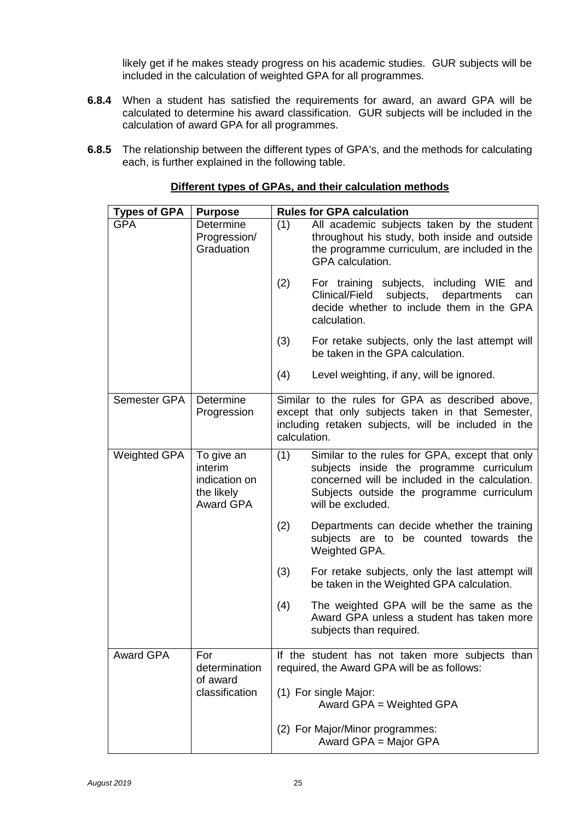likely get if he makes steady progress on his academic studies. GUR subjects will be included in the calculation of weighted GPA for all programmes.

- **6.8.4** When a student has satisfied the requirements for award, an award GPA will be calculated to determine his award classification. GUR subjects will be included in the calculation of award GPA for all programmes.
- **6.8.5** The relationship between the different types of GPA's, and the methods for calculating each, is further explained in the following table.

| <b>Types of GPA</b> | <b>Purpose</b>                                                           |              | <b>Rules for GPA calculation</b>                                                                                                                                                                               |
|---------------------|--------------------------------------------------------------------------|--------------|----------------------------------------------------------------------------------------------------------------------------------------------------------------------------------------------------------------|
| <b>GPA</b>          | Determine<br>Progression/<br>Graduation                                  | (1)          | All academic subjects taken by the student<br>throughout his study, both inside and outside<br>the programme curriculum, are included in the<br>GPA calculation.                                               |
|                     |                                                                          | (2)          | For training subjects, including WIE<br>and<br>Clinical/Field<br>subjects, departments<br>can<br>decide whether to include them in the GPA<br>calculation.                                                     |
|                     |                                                                          | (3)          | For retake subjects, only the last attempt will<br>be taken in the GPA calculation.                                                                                                                            |
|                     |                                                                          | (4)          | Level weighting, if any, will be ignored.                                                                                                                                                                      |
| Semester GPA        | Determine<br>Progression                                                 | calculation. | Similar to the rules for GPA as described above,<br>except that only subjects taken in that Semester,<br>including retaken subjects, will be included in the                                                   |
| <b>Weighted GPA</b> | To give an<br>interim<br>indication on<br>the likely<br><b>Award GPA</b> | (1)          | Similar to the rules for GPA, except that only<br>subjects inside the programme curriculum<br>concerned will be included in the calculation.<br>Subjects outside the programme curriculum<br>will be excluded. |
|                     |                                                                          | (2)          | Departments can decide whether the training<br>subjects are to be counted towards the<br>Weighted GPA.                                                                                                         |
|                     |                                                                          | (3)          | For retake subjects, only the last attempt will<br>be taken in the Weighted GPA calculation.                                                                                                                   |
|                     |                                                                          | (4)          | The weighted GPA will be the same as the<br>Award GPA unless a student has taken more<br>subjects than required.                                                                                               |
| Award GPA           | For<br>determination                                                     |              | If the student has not taken more subjects than<br>required, the Award GPA will be as follows:                                                                                                                 |
|                     | of award<br>classification                                               |              | (1) For single Major:<br>Award GPA = Weighted GPA                                                                                                                                                              |
|                     |                                                                          |              | (2) For Major/Minor programmes:<br>Award GPA = Major GPA                                                                                                                                                       |

#### **Different types of GPAs, and their calculation methods**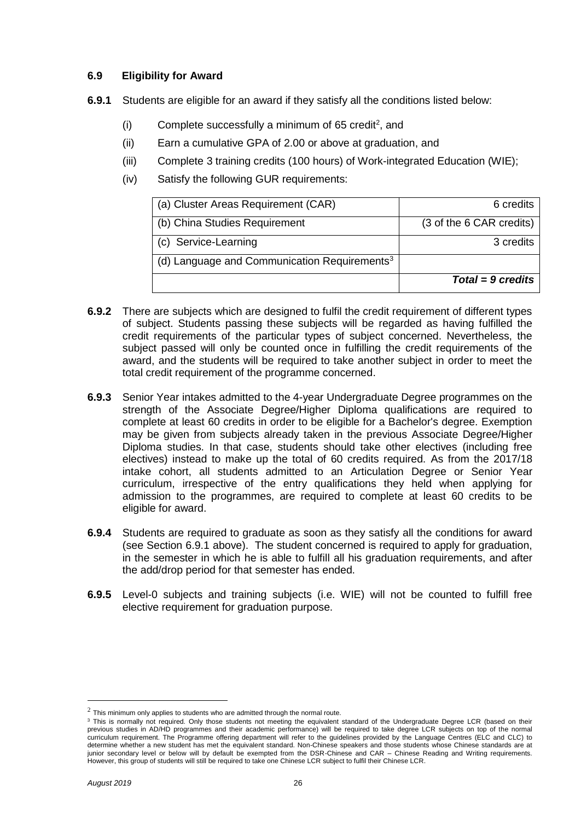#### **6.9 Eligibility for Award**

- **6.9.1** Students are eligible for an award if they satisfy all the conditions listed below:
	- (i) Complete successfully a minimum of 65 credit<sup>2</sup>, and
	- (ii) Earn a cumulative GPA of 2.00 or above at graduation, and
	- (iii) Complete 3 training credits (100 hours) of Work-integrated Education (WIE);
	- (iv) Satisfy the following GUR requirements:

| (a) Cluster Areas Requirement (CAR)                      | 6 credits                |
|----------------------------------------------------------|--------------------------|
| (b) China Studies Requirement                            | (3 of the 6 CAR credits) |
| (c) Service-Learning                                     | 3 credits                |
| (d) Language and Communication Requirements <sup>3</sup> |                          |
|                                                          | $Total = 9$ credits      |

- **6.9.2** There are subjects which are designed to fulfil the credit requirement of different types of subject. Students passing these subjects will be regarded as having fulfilled the credit requirements of the particular types of subject concerned. Nevertheless, the subject passed will only be counted once in fulfilling the credit requirements of the award, and the students will be required to take another subject in order to meet the total credit requirement of the programme concerned.
- **6.9.3** Senior Year intakes admitted to the 4-year Undergraduate Degree programmes on the strength of the Associate Degree/Higher Diploma qualifications are required to complete at least 60 credits in order to be eligible for a Bachelor's degree. Exemption may be given from subjects already taken in the previous Associate Degree/Higher Diploma studies. In that case, students should take other electives (including free electives) instead to make up the total of 60 credits required. As from the 2017/18 intake cohort, all students admitted to an Articulation Degree or Senior Year curriculum, irrespective of the entry qualifications they held when applying for admission to the programmes, are required to complete at least 60 credits to be eligible for award.
- **6.9.4** Students are required to graduate as soon as they satisfy all the conditions for award (see Section 6.9.1 above). The student concerned is required to apply for graduation, in the semester in which he is able to fulfill all his graduation requirements, and after the add/drop period for that semester has ended.
- **6.9.5** Level-0 subjects and training subjects (i.e. WIE) will not be counted to fulfill free elective requirement for graduation purpose.

—<br>—

 $^{2}$  This minimum only applies to students who are admitted through the normal route.

<sup>&</sup>lt;sup>3</sup> This is normally not required. Only those students not meeting the equivalent standard of the Undergraduate Degree LCR (based on their previous studies in AD/HD programmes and their academic performance) will be required to take degree LCR subjects on top of the normal curriculum requirement. The Programme offering department will refer to the guidelines provided by the Language Centres (ELC and CLC) to determine whether a new student has met the equivalent standard. Non-Chinese speakers and those students whose Chinese standards are at junior secondary level or below will by default be exempted from the DSR-Chinese and CAR - Chinese Reading and Writing requirements. However, this group of students will still be required to take one Chinese LCR subject to fulfil their Chinese LCR.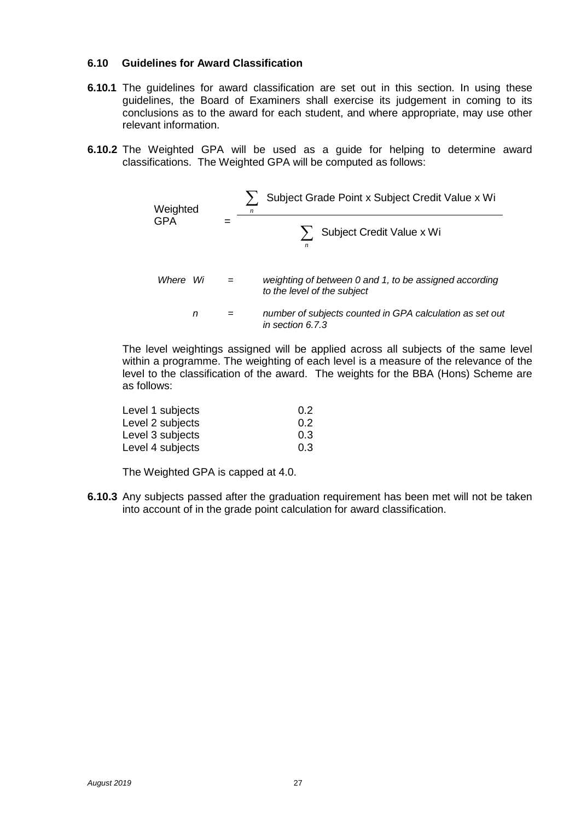#### **6.10 Guidelines for Award Classification**

- **6.10.1** The guidelines for award classification are set out in this section. In using these guidelines, the Board of Examiners shall exercise its judgement in coming to its conclusions as to the award for each student, and where appropriate, may use other relevant information.
- **6.10.2** The Weighted GPA will be used as a guide for helping to determine award classifications. The Weighted GPA will be computed as follows:

| Weighted | $\sum_{n}$ | Subject Grade Point x Subject Credit Value x Wi                                    |                           |
|----------|------------|------------------------------------------------------------------------------------|---------------------------|
| GPA      | $=$        | $\sum_{n}$                                                                         | Subject Credit Value x Wi |
| Where Wi | $=$        | weighting of between 0 and 1, to be assigned according to the level of the subject |                           |
| n        | $=$        | number of subjects counted in GPA calculation as set out in section 6.7.3          |                           |

The level weightings assigned will be applied across all subjects of the same level within a programme. The weighting of each level is a measure of the relevance of the level to the classification of the award. The weights for the BBA (Hons) Scheme are as follows:

| Level 1 subjects | 0.2 |
|------------------|-----|
| Level 2 subjects | 0.2 |
| Level 3 subjects | 0.3 |
| Level 4 subjects | 0.3 |

The Weighted GPA is capped at 4.0.

**6.10.3** Any subjects passed after the graduation requirement has been met will not be taken into account of in the grade point calculation for award classification.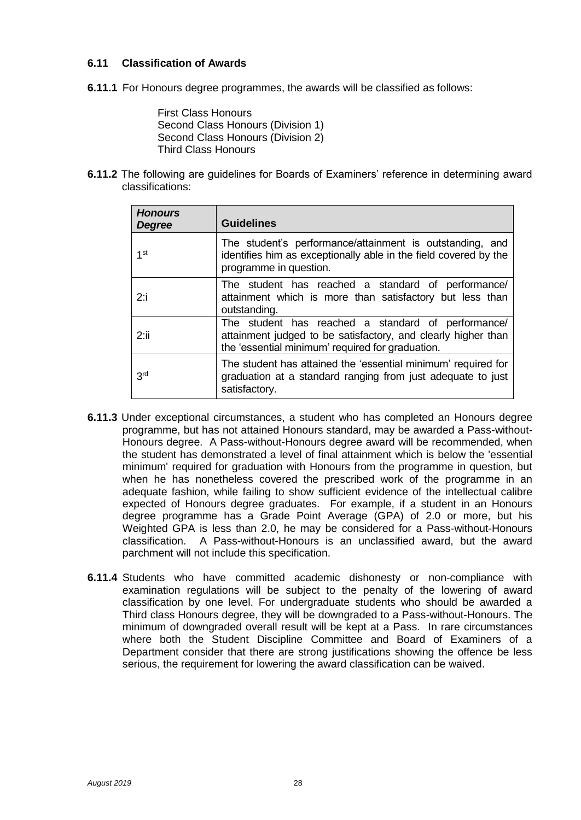#### **6.11 Classification of Awards**

**6.11.1** For Honours degree programmes, the awards will be classified as follows:

First Class Honours Second Class Honours (Division 1) Second Class Honours (Division 2) Third Class Honours

**6.11.2** The following are guidelines for Boards of Examiners' reference in determining award classifications:

| <b>Honours</b><br><b>Degree</b> | <b>Guidelines</b>                                                                                                                                                       |
|---------------------------------|-------------------------------------------------------------------------------------------------------------------------------------------------------------------------|
| $1$ st                          | The student's performance/attainment is outstanding, and<br>identifies him as exceptionally able in the field covered by the<br>programme in question.                  |
| $2:$ i                          | The student has reached a standard of performance/<br>attainment which is more than satisfactory but less than<br>outstanding.                                          |
| 2:ii                            | The student has reached a standard of performance/<br>attainment judged to be satisfactory, and clearly higher than<br>the 'essential minimum' required for graduation. |
| 3 <sup>rd</sup>                 | The student has attained the 'essential minimum' required for<br>graduation at a standard ranging from just adequate to just<br>satisfactory.                           |

- **6.11.3** Under exceptional circumstances, a student who has completed an Honours degree programme, but has not attained Honours standard, may be awarded a Pass-without-Honours degree. A Pass-without-Honours degree award will be recommended, when the student has demonstrated a level of final attainment which is below the 'essential minimum' required for graduation with Honours from the programme in question, but when he has nonetheless covered the prescribed work of the programme in an adequate fashion, while failing to show sufficient evidence of the intellectual calibre expected of Honours degree graduates. For example, if a student in an Honours degree programme has a Grade Point Average (GPA) of 2.0 or more, but his Weighted GPA is less than 2.0, he may be considered for a Pass-without-Honours classification. A Pass-without-Honours is an unclassified award, but the award parchment will not include this specification.
- **6.11.4** Students who have committed academic dishonesty or non-compliance with examination regulations will be subject to the penalty of the lowering of award classification by one level. For undergraduate students who should be awarded a Third class Honours degree, they will be downgraded to a Pass-without-Honours. The minimum of downgraded overall result will be kept at a Pass. In rare circumstances where both the Student Discipline Committee and Board of Examiners of a Department consider that there are strong justifications showing the offence be less serious, the requirement for lowering the award classification can be waived.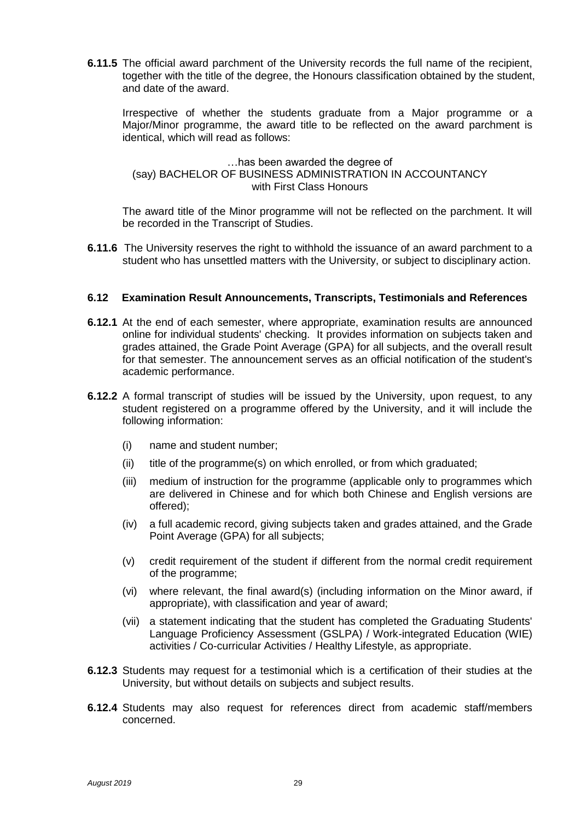**6.11.5** The official award parchment of the University records the full name of the recipient, together with the title of the degree, the Honours classification obtained by the student, and date of the award.

Irrespective of whether the students graduate from a Major programme or a Major/Minor programme, the award title to be reflected on the award parchment is identical, which will read as follows:

#### …has been awarded the degree of (say) BACHELOR OF BUSINESS ADMINISTRATION IN ACCOUNTANCY with First Class Honours

The award title of the Minor programme will not be reflected on the parchment. It will be recorded in the Transcript of Studies.

**6.11.6** The University reserves the right to withhold the issuance of an award parchment to a student who has unsettled matters with the University, or subject to disciplinary action.

#### **6.12 Examination Result Announcements, Transcripts, Testimonials and References**

- **6.12.1** At the end of each semester, where appropriate, examination results are announced online for individual students' checking. It provides information on subjects taken and grades attained, the Grade Point Average (GPA) for all subjects, and the overall result for that semester. The announcement serves as an official notification of the student's academic performance.
- **6.12.2** A formal transcript of studies will be issued by the University, upon request, to any student registered on a programme offered by the University, and it will include the following information:
	- (i) name and student number;
	- (ii) title of the programme(s) on which enrolled, or from which graduated;
	- (iii) medium of instruction for the programme (applicable only to programmes which are delivered in Chinese and for which both Chinese and English versions are offered);
	- (iv) a full academic record, giving subjects taken and grades attained, and the Grade Point Average (GPA) for all subjects;
	- (v) credit requirement of the student if different from the normal credit requirement of the programme;
	- (vi) where relevant, the final award(s) (including information on the Minor award, if appropriate), with classification and year of award;
	- (vii) a statement indicating that the student has completed the Graduating Students' Language Proficiency Assessment (GSLPA) / Work-integrated Education (WIE) activities / Co-curricular Activities / Healthy Lifestyle, as appropriate.
- **6.12.3** Students may request for a testimonial which is a certification of their studies at the University, but without details on subjects and subject results.
- **6.12.4** Students may also request for references direct from academic staff/members concerned.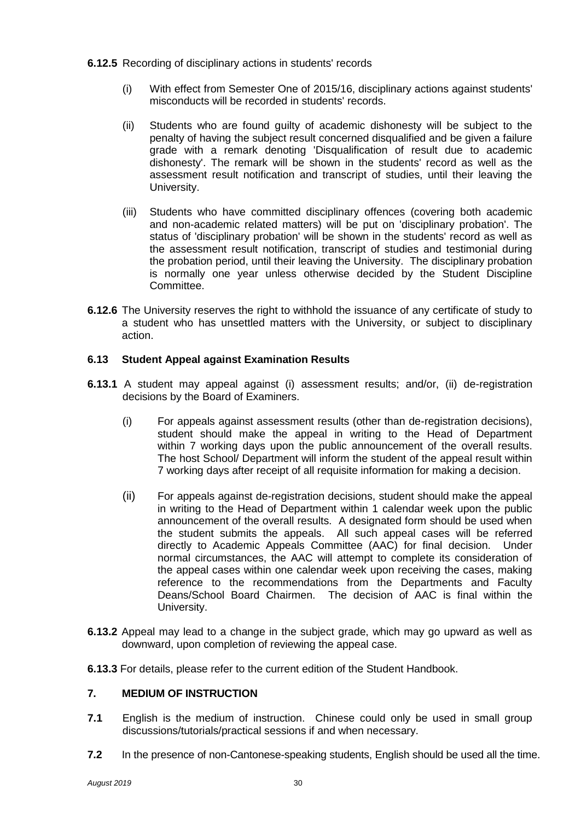#### **6.12.5** Recording of disciplinary actions in students' records

- (i) With effect from Semester One of 2015/16, disciplinary actions against students' misconducts will be recorded in students' records.
- (ii) Students who are found guilty of academic dishonesty will be subject to the penalty of having the subject result concerned disqualified and be given a failure grade with a remark denoting 'Disqualification of result due to academic dishonesty'. The remark will be shown in the students' record as well as the assessment result notification and transcript of studies, until their leaving the University.
- (iii) Students who have committed disciplinary offences (covering both academic and non-academic related matters) will be put on 'disciplinary probation'. The status of 'disciplinary probation' will be shown in the students' record as well as the assessment result notification, transcript of studies and testimonial during the probation period, until their leaving the University. The disciplinary probation is normally one year unless otherwise decided by the Student Discipline Committee.
- **6.12.6** The University reserves the right to withhold the issuance of any certificate of study to a student who has unsettled matters with the University, or subject to disciplinary action.

#### **6.13 Student Appeal against Examination Results**

- **6.13.1** A student may appeal against (i) assessment results; and/or, (ii) de-registration decisions by the Board of Examiners.
	- (i) For appeals against assessment results (other than de-registration decisions), student should make the appeal in writing to the Head of Department within 7 working days upon the public announcement of the overall results. The host School/ Department will inform the student of the appeal result within 7 working days after receipt of all requisite information for making a decision.
	- (ii) For appeals against de-registration decisions, student should make the appeal in writing to the Head of Department within 1 calendar week upon the public announcement of the overall results. A designated form should be used when the student submits the appeals. All such appeal cases will be referred directly to Academic Appeals Committee (AAC) for final decision. Under normal circumstances, the AAC will attempt to complete its consideration of the appeal cases within one calendar week upon receiving the cases, making reference to the recommendations from the Departments and Faculty Deans/School Board Chairmen. The decision of AAC is final within the University.
- **6.13.2** Appeal may lead to a change in the subject grade, which may go upward as well as downward, upon completion of reviewing the appeal case.
- **6.13.3** For details, please refer to the current edition of the Student Handbook.

#### **7. MEDIUM OF INSTRUCTION**

- **7.1** English is the medium of instruction. Chinese could only be used in small group discussions/tutorials/practical sessions if and when necessary.
- **7.2** In the presence of non-Cantonese-speaking students, English should be used all the time.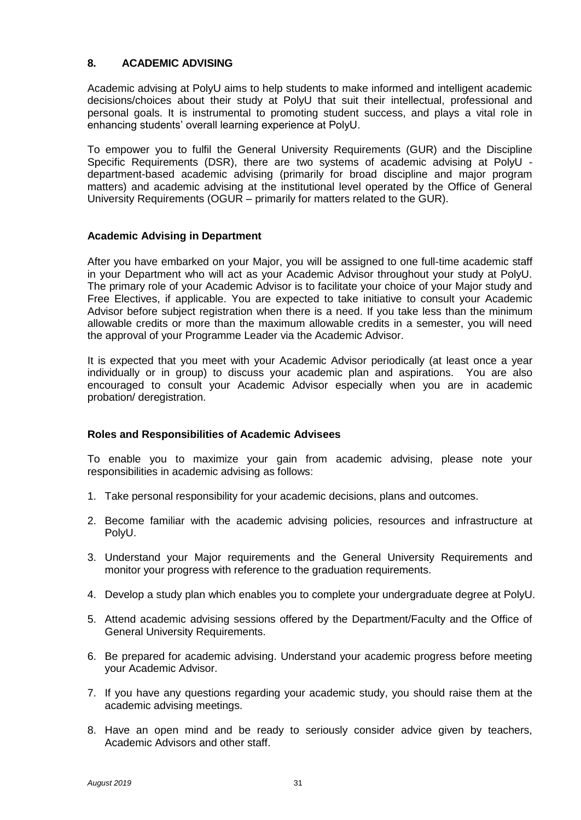#### **8. ACADEMIC ADVISING**

Academic advising at PolyU aims to help students to make informed and intelligent academic decisions/choices about their study at PolyU that suit their intellectual, professional and personal goals. It is instrumental to promoting student success, and plays a vital role in enhancing students' overall learning experience at PolyU.

To empower you to fulfil the General University Requirements (GUR) and the Discipline Specific Requirements (DSR), there are two systems of academic advising at PolyU department-based academic advising (primarily for broad discipline and major program matters) and academic advising at the institutional level operated by the Office of General University Requirements (OGUR – primarily for matters related to the GUR).

#### **Academic Advising in Department**

After you have embarked on your Major, you will be assigned to one full-time academic staff in your Department who will act as your Academic Advisor throughout your study at PolyU. The primary role of your Academic Advisor is to facilitate your choice of your Major study and Free Electives, if applicable. You are expected to take initiative to consult your Academic Advisor before subject registration when there is a need. If you take less than the minimum allowable credits or more than the maximum allowable credits in a semester, you will need the approval of your Programme Leader via the Academic Advisor.

It is expected that you meet with your Academic Advisor periodically (at least once a year individually or in group) to discuss your academic plan and aspirations. You are also encouraged to consult your Academic Advisor especially when you are in academic probation/ deregistration.

#### **Roles and Responsibilities of Academic Advisees**

To enable you to maximize your gain from academic advising, please note your responsibilities in academic advising as follows:

- 1. Take personal responsibility for your academic decisions, plans and outcomes.
- 2. Become familiar with the academic advising policies, resources and infrastructure at PolyU.
- 3. Understand your Major requirements and the General University Requirements and monitor your progress with reference to the graduation requirements.
- 4. Develop a study plan which enables you to complete your undergraduate degree at PolyU.
- 5. Attend academic advising sessions offered by the Department/Faculty and the Office of General University Requirements.
- 6. Be prepared for academic advising. Understand your academic progress before meeting your Academic Advisor.
- 7. If you have any questions regarding your academic study, you should raise them at the academic advising meetings.
- 8. Have an open mind and be ready to seriously consider advice given by teachers, Academic Advisors and other staff.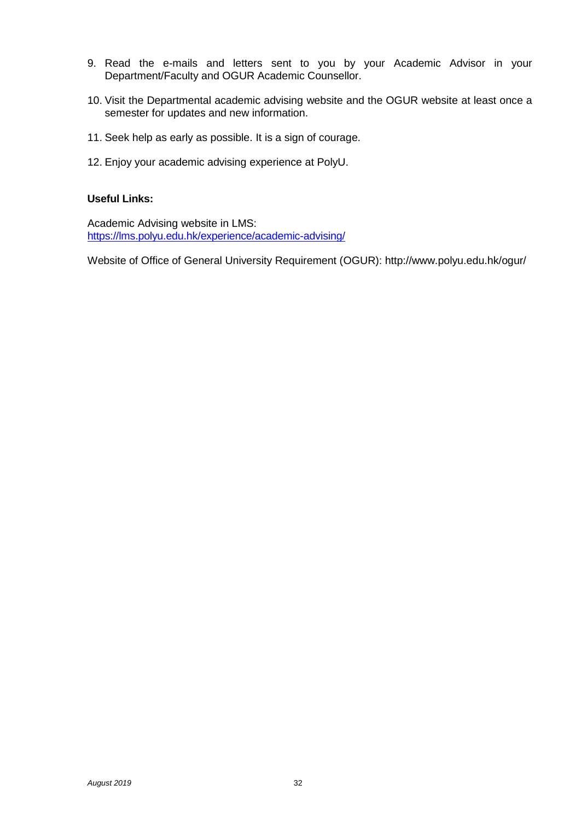- 9. Read the e-mails and letters sent to you by your Academic Advisor in your Department/Faculty and OGUR Academic Counsellor.
- 10. Visit the Departmental academic advising website and the OGUR website at least once a semester for updates and new information.
- 11. Seek help as early as possible. It is a sign of courage.
- 12. Enjoy your academic advising experience at PolyU.

#### **Useful Links:**

Academic Advising website in LMS: <https://lms.polyu.edu.hk/experience/academic-advising/>

Website of Office of General University Requirement (OGUR): http://www.polyu.edu.hk/ogur/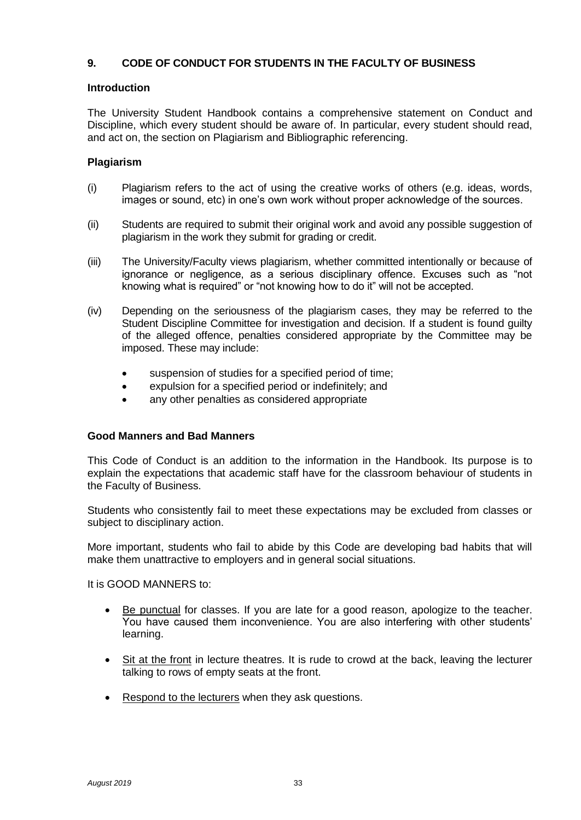#### **9. CODE OF CONDUCT FOR STUDENTS IN THE FACULTY OF BUSINESS**

#### **Introduction**

The University Student Handbook contains a comprehensive statement on Conduct and Discipline, which every student should be aware of. In particular, every student should read, and act on, the section on Plagiarism and Bibliographic referencing.

#### **Plagiarism**

- (i) Plagiarism refers to the act of using the creative works of others (e.g. ideas, words, images or sound, etc) in one's own work without proper acknowledge of the sources.
- (ii) Students are required to submit their original work and avoid any possible suggestion of plagiarism in the work they submit for grading or credit.
- (iii) The University/Faculty views plagiarism, whether committed intentionally or because of ignorance or negligence, as a serious disciplinary offence. Excuses such as "not knowing what is required" or "not knowing how to do it" will not be accepted.
- (iv) Depending on the seriousness of the plagiarism cases, they may be referred to the Student Discipline Committee for investigation and decision. If a student is found guilty of the alleged offence, penalties considered appropriate by the Committee may be imposed. These may include:
	- suspension of studies for a specified period of time;
	- expulsion for a specified period or indefinitely; and
	- any other penalties as considered appropriate

#### **Good Manners and Bad Manners**

This Code of Conduct is an addition to the information in the Handbook. Its purpose is to explain the expectations that academic staff have for the classroom behaviour of students in the Faculty of Business.

Students who consistently fail to meet these expectations may be excluded from classes or subject to disciplinary action.

More important, students who fail to abide by this Code are developing bad habits that will make them unattractive to employers and in general social situations.

It is GOOD MANNERS to:

- Be punctual for classes. If you are late for a good reason, apologize to the teacher. You have caused them inconvenience. You are also interfering with other students' learning.
- Sit at the front in lecture theatres. It is rude to crowd at the back, leaving the lecturer talking to rows of empty seats at the front.
- Respond to the lecturers when they ask questions.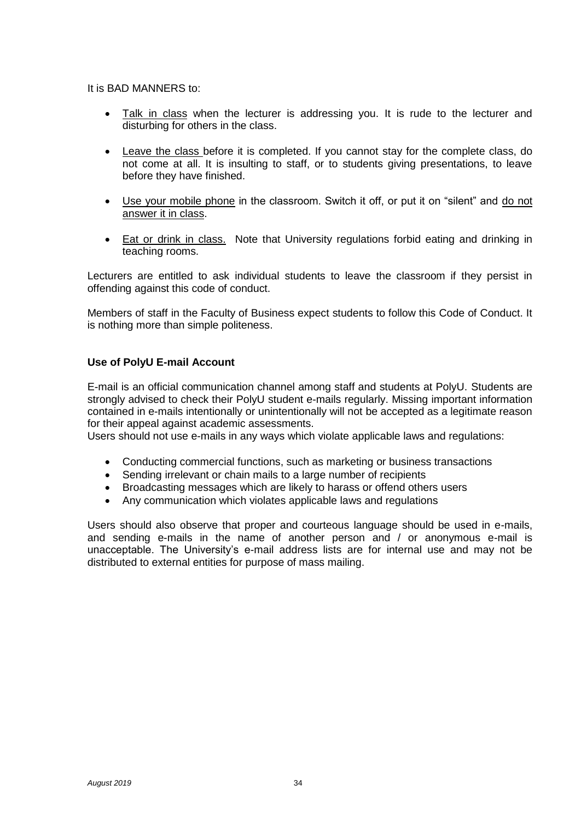#### It is BAD MANNERS to:

- Talk in class when the lecturer is addressing you. It is rude to the lecturer and disturbing for others in the class.
- Leave the class before it is completed. If you cannot stay for the complete class, do not come at all. It is insulting to staff, or to students giving presentations, to leave before they have finished.
- Use your mobile phone in the classroom. Switch it off, or put it on "silent" and do not answer it in class.
- Eat or drink in class. Note that University regulations forbid eating and drinking in teaching rooms.

Lecturers are entitled to ask individual students to leave the classroom if they persist in offending against this code of conduct.

Members of staff in the Faculty of Business expect students to follow this Code of Conduct. It is nothing more than simple politeness.

#### **Use of PolyU E-mail Account**

E-mail is an official communication channel among staff and students at PolyU. Students are strongly advised to check their PolyU student e-mails regularly. Missing important information contained in e-mails intentionally or unintentionally will not be accepted as a legitimate reason for their appeal against academic assessments.

Users should not use e-mails in any ways which violate applicable laws and regulations:

- Conducting commercial functions, such as marketing or business transactions
- Sending irrelevant or chain mails to a large number of recipients
- Broadcasting messages which are likely to harass or offend others users
- Any communication which violates applicable laws and regulations

Users should also observe that proper and courteous language should be used in e-mails, and sending e-mails in the name of another person and / or anonymous e-mail is unacceptable. The University's e-mail address lists are for internal use and may not be distributed to external entities for purpose of mass mailing.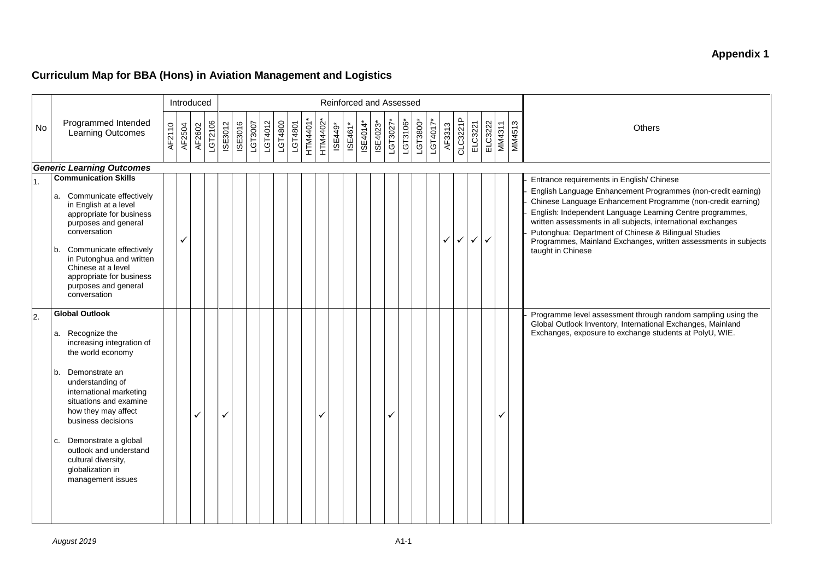### **Appendix 1**

### **Curriculum Map for BBA (Hons) in Aviation Management and Logistics**

|                  |                                                                                                                                                                                                                                                                                                                                                                   |        | Introduced |              |         |                |                |         |         |         |         |          | Reinforced and Assessed |         |         |          |          |          |          |            |          |        |              |         |         |               |        |                                                                                                                                                                                                                                                                                                                                                                                                                                                      |
|------------------|-------------------------------------------------------------------------------------------------------------------------------------------------------------------------------------------------------------------------------------------------------------------------------------------------------------------------------------------------------------------|--------|------------|--------------|---------|----------------|----------------|---------|---------|---------|---------|----------|-------------------------|---------|---------|----------|----------|----------|----------|------------|----------|--------|--------------|---------|---------|---------------|--------|------------------------------------------------------------------------------------------------------------------------------------------------------------------------------------------------------------------------------------------------------------------------------------------------------------------------------------------------------------------------------------------------------------------------------------------------------|
| <b>No</b>        | Programmed Intended<br>Learning Outcomes                                                                                                                                                                                                                                                                                                                          | AF2110 | AF2504     | AF2602       | LGT2106 | <b>ISE3012</b> | <b>ISE3016</b> | LGT3007 | LGT4012 | LGT4800 | LGT4801 | HTM4401* | HTM4402*                | ISE449* | ISE461* | ISE4014* | ISE4023* | LGT3027* | LGT3106* | $LGT3800*$ | LGT4017* | AF3313 | CLC3221P     | ELC3221 | ELC3222 | <b>MM4311</b> | MM4513 | <b>Others</b>                                                                                                                                                                                                                                                                                                                                                                                                                                        |
|                  | <b>Generic Learning Outcomes</b>                                                                                                                                                                                                                                                                                                                                  |        |            |              |         |                |                |         |         |         |         |          |                         |         |         |          |          |          |          |            |          |        |              |         |         |               |        |                                                                                                                                                                                                                                                                                                                                                                                                                                                      |
| $\overline{1}$ . | <b>Communication Skills</b><br>a. Communicate effectively<br>in English at a level<br>appropriate for business<br>purposes and general<br>conversation<br>Communicate effectively<br>b.<br>in Putonghua and written<br>Chinese at a level<br>appropriate for business<br>purposes and general<br>conversation                                                     |        | ✓          |              |         |                |                |         |         |         |         |          |                         |         |         |          |          |          |          |            |          | ✓      | $\checkmark$ | ✓       | ✓       |               |        | Entrance requirements in English/Chinese<br>English Language Enhancement Programmes (non-credit earning)<br>Chinese Language Enhancement Programme (non-credit earning)<br>English: Independent Language Learning Centre programmes,<br>written assessments in all subjects, international exchanges<br>Putonghua: Department of Chinese & Bilingual Studies<br>Programmes, Mainland Exchanges, written assessments in subjects<br>taught in Chinese |
| $\overline{2}$ . | <b>Global Outlook</b><br>a. Recognize the<br>increasing integration of<br>the world economy<br>Demonstrate an<br>b.<br>understanding of<br>international marketing<br>situations and examine<br>how they may affect<br>business decisions<br>Demonstrate a global<br>c.<br>outlook and understand<br>cultural diversity,<br>globalization in<br>management issues |        |            | $\checkmark$ |         | v              |                |         |         |         |         |          |                         |         |         |          |          |          |          |            |          |        |              |         |         | ✓             |        | Programme level assessment through random sampling using the<br>Global Outlook Inventory, International Exchanges, Mainland<br>Exchanges, exposure to exchange students at PolyU, WIE.                                                                                                                                                                                                                                                               |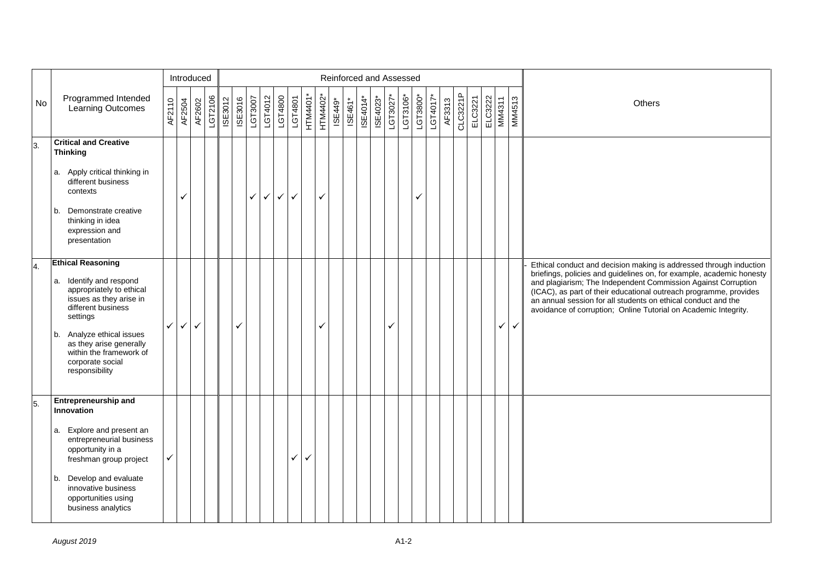|    |                                                                                                                                                                                                                                                                       |              |              | Introduced |         |                |         |         |              |              |              |              |          |         |         |          | Reinforced and Assessed |          |          |          |          |        |          |         |         |        |               |                                                                                                                                                                                                                                                                                                                                                                                                                      |
|----|-----------------------------------------------------------------------------------------------------------------------------------------------------------------------------------------------------------------------------------------------------------------------|--------------|--------------|------------|---------|----------------|---------|---------|--------------|--------------|--------------|--------------|----------|---------|---------|----------|-------------------------|----------|----------|----------|----------|--------|----------|---------|---------|--------|---------------|----------------------------------------------------------------------------------------------------------------------------------------------------------------------------------------------------------------------------------------------------------------------------------------------------------------------------------------------------------------------------------------------------------------------|
| No | Programmed Intended<br><b>Learning Outcomes</b>                                                                                                                                                                                                                       | AF2110       | AF2504       | AF2602     | LGT2106 | <b>ISE3012</b> | ISE3016 | LGT3007 | LGT4012      | LGT4800      | LGT4801      | HTM4401*     | HTM4402* | ISE449* | ISE461* | ISE4014* | ISE4023*                | LGT3027* | LGT3106* | LGT3800* | LGT4017* | AF3313 | CLC3221P | ELC3221 | ELC3222 | MM4311 | <b>MM4513</b> | Others                                                                                                                                                                                                                                                                                                                                                                                                               |
| 3. | <b>Critical and Creative</b><br><b>Thinking</b>                                                                                                                                                                                                                       |              |              |            |         |                |         |         |              |              |              |              |          |         |         |          |                         |          |          |          |          |        |          |         |         |        |               |                                                                                                                                                                                                                                                                                                                                                                                                                      |
|    | a. Apply critical thinking in<br>different business<br>contexts                                                                                                                                                                                                       |              | ✓            |            |         |                |         | ✓       | $\checkmark$ | $\checkmark$ | $\checkmark$ |              | ✓        |         |         |          |                         |          |          | ✓        |          |        |          |         |         |        |               |                                                                                                                                                                                                                                                                                                                                                                                                                      |
|    | Demonstrate creative<br>b.<br>thinking in idea<br>expression and<br>presentation                                                                                                                                                                                      |              |              |            |         |                |         |         |              |              |              |              |          |         |         |          |                         |          |          |          |          |        |          |         |         |        |               |                                                                                                                                                                                                                                                                                                                                                                                                                      |
| 4. | <b>Ethical Reasoning</b><br>a. Identify and respond<br>appropriately to ethical<br>issues as they arise in<br>different business<br>settings<br>b. Analyze ethical issues<br>as they arise generally<br>within the framework of<br>corporate social<br>responsibility | $\checkmark$ | $\checkmark$ | ✓          |         |                | ✓       |         |              |              |              |              | ✓        |         |         |          |                         | ✓        |          |          |          |        |          |         |         | ✓      | $\checkmark$  | Ethical conduct and decision making is addressed through induction<br>briefings, policies and guidelines on, for example, academic honesty<br>and plagiarism; The Independent Commission Against Corruption<br>(ICAC), as part of their educational outreach programme, provides<br>an annual session for all students on ethical conduct and the<br>avoidance of corruption; Online Tutorial on Academic Integrity. |
| 5. | <b>Entrepreneurship and</b><br>Innovation<br>a. Explore and present an<br>entrepreneurial business<br>opportunity in a<br>freshman group project<br>Develop and evaluate<br>b.<br>innovative business<br>opportunities using<br>business analytics                    |              |              |            |         |                |         |         |              |              | ✓            | $\checkmark$ |          |         |         |          |                         |          |          |          |          |        |          |         |         |        |               |                                                                                                                                                                                                                                                                                                                                                                                                                      |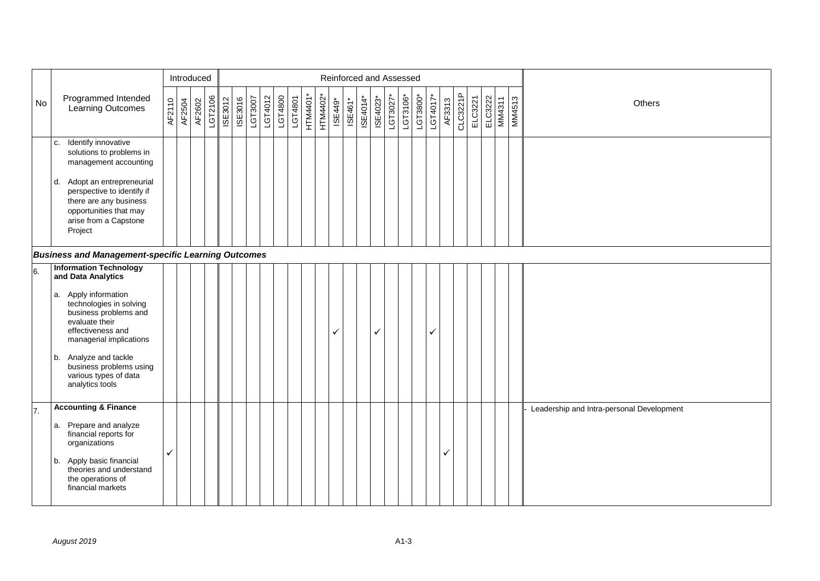|           |                                                                                                                                                                                                                                                                                                      |        |        | Introduced |         |         |         |         |         |         |         |          |          |         |         |          | Reinforced and Assessed |            |          |          |          |        |          |         |                   |               |                                           |
|-----------|------------------------------------------------------------------------------------------------------------------------------------------------------------------------------------------------------------------------------------------------------------------------------------------------------|--------|--------|------------|---------|---------|---------|---------|---------|---------|---------|----------|----------|---------|---------|----------|-------------------------|------------|----------|----------|----------|--------|----------|---------|-------------------|---------------|-------------------------------------------|
| <b>No</b> | Programmed Intended<br>Learning Outcomes                                                                                                                                                                                                                                                             | AF2110 | AF2504 | AF2602     | LGT2106 | ISE3012 | ISE3016 | LGT3007 | LGT4012 | LGT4800 | LGT4801 | HTM4401* | HTM4402* | ISE449* | ISE461* | ISE4014* | ISE4023*                | $LGT3027*$ | LGT3106* | LGT3800* | LGT4017* | AF3313 | CLC3221P | ELC3221 | ELC3222<br>MM4311 | <b>MM4513</b> | Others                                    |
|           | Identify innovative<br>c.<br>solutions to problems in<br>management accounting<br>Adopt an entrepreneurial<br>d.<br>perspective to identify if<br>there are any business<br>opportunities that may<br>arise from a Capstone<br>Project                                                               |        |        |            |         |         |         |         |         |         |         |          |          |         |         |          |                         |            |          |          |          |        |          |         |                   |               |                                           |
|           | <b>Business and Management-specific Learning Outcomes</b>                                                                                                                                                                                                                                            |        |        |            |         |         |         |         |         |         |         |          |          |         |         |          |                         |            |          |          |          |        |          |         |                   |               |                                           |
| 6.        | <b>Information Technology</b><br>and Data Analytics<br>a. Apply information<br>technologies in solving<br>business problems and<br>evaluate their<br>effectiveness and<br>managerial implications<br>Analyze and tackle<br>b.<br>business problems using<br>various types of data<br>analytics tools |        |        |            |         |         |         |         |         |         |         |          |          | ✓       |         |          | $\checkmark$            |            |          |          | ✓        |        |          |         |                   |               |                                           |
| 7.        | <b>Accounting &amp; Finance</b><br>a. Prepare and analyze<br>financial reports for<br>organizations<br>Apply basic financial<br>b.<br>theories and understand<br>the operations of<br>financial markets                                                                                              | ✓      |        |            |         |         |         |         |         |         |         |          |          |         |         |          |                         |            |          |          |          | ✓      |          |         |                   |               | Leadership and Intra-personal Development |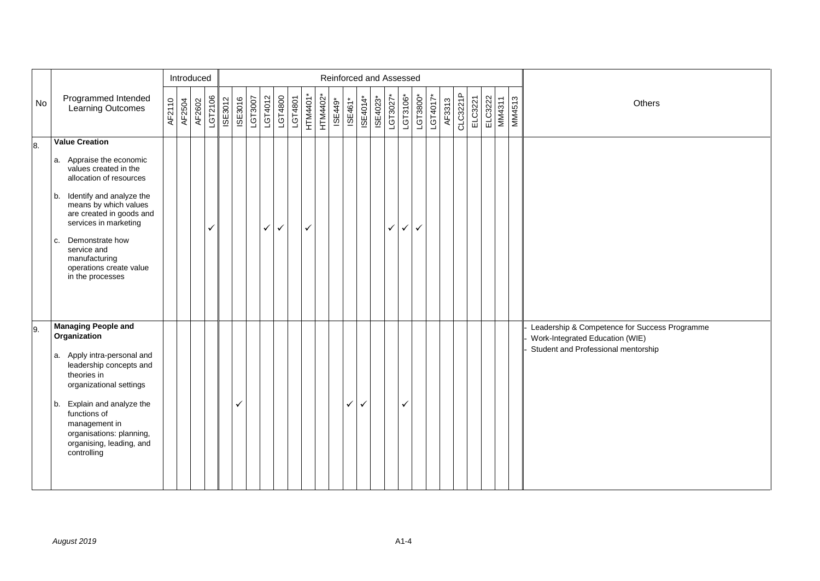|     |                                                                                                                                                |        |        | Introduced |         |         |         |         |         |              |         |          |          | Reinforced and Assessed |              |          |          |          |          |              |          |        |          |         |                   |               |                                                                                                                         |
|-----|------------------------------------------------------------------------------------------------------------------------------------------------|--------|--------|------------|---------|---------|---------|---------|---------|--------------|---------|----------|----------|-------------------------|--------------|----------|----------|----------|----------|--------------|----------|--------|----------|---------|-------------------|---------------|-------------------------------------------------------------------------------------------------------------------------|
| No  | Programmed Intended<br>Learning Outcomes                                                                                                       | AF2110 | AF2504 | AF2602     | LGT2106 | ISE3012 | ISE3016 | LGT3007 | LGT4012 | LGT4800      | LGT4801 | HTM4401* | HTM4402* | ISE449*                 | ISE461*      | ISE4014* | ISE4023* | LGT3027* | LGT3106* | $LGT3800*$   | LGT4017* | AF3313 | CLC3221P | ELC3221 | ELC3222<br>MM4311 | <b>MM4513</b> | Others                                                                                                                  |
| 8.  | <b>Value Creation</b>                                                                                                                          |        |        |            |         |         |         |         |         |              |         |          |          |                         |              |          |          |          |          |              |          |        |          |         |                   |               |                                                                                                                         |
|     | a. Appraise the economic<br>values created in the<br>allocation of resources                                                                   |        |        |            |         |         |         |         |         |              |         |          |          |                         |              |          |          |          |          |              |          |        |          |         |                   |               |                                                                                                                         |
|     | Identify and analyze the<br>b.<br>means by which values<br>are created in goods and<br>services in marketing                                   |        |        |            | ✓       |         |         |         | ✓       | $\checkmark$ |         | ✓        |          |                         |              |          |          | ✓        | ✓        | $\checkmark$ |          |        |          |         |                   |               |                                                                                                                         |
|     | Demonstrate how<br>c.<br>service and<br>manufacturing<br>operations create value<br>in the processes                                           |        |        |            |         |         |         |         |         |              |         |          |          |                         |              |          |          |          |          |              |          |        |          |         |                   |               |                                                                                                                         |
| 19. | <b>Managing People and</b><br>Organization<br>a. Apply intra-personal and<br>leadership concepts and<br>theories in<br>organizational settings |        |        |            |         |         |         |         |         |              |         |          |          |                         |              |          |          |          |          |              |          |        |          |         |                   |               | Leadership & Competence for Success Programme<br>Work-Integrated Education (WIE)<br>Student and Professional mentorship |
|     | Explain and analyze the<br>b.<br>functions of<br>management in<br>organisations: planning,<br>organising, leading, and<br>controlling          |        |        |            |         |         | ✓       |         |         |              |         |          |          |                         | $\checkmark$ | ✓        |          |          | ✓        |              |          |        |          |         |                   |               |                                                                                                                         |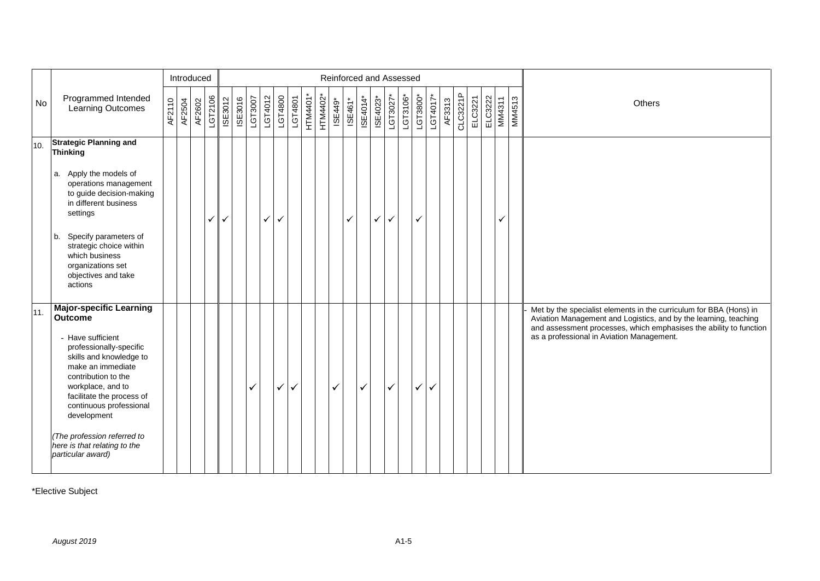|     |                                                                                                                                                                                                                                                                                                                                                         |        | Introduced |        |              |         |         |         |              |         |         |                 |          |         |              | Reinforced and Assessed      |              |              |          |          |              |        |          |         |                   |               |                                                                                                                                                                                                                                                           |
|-----|---------------------------------------------------------------------------------------------------------------------------------------------------------------------------------------------------------------------------------------------------------------------------------------------------------------------------------------------------------|--------|------------|--------|--------------|---------|---------|---------|--------------|---------|---------|-----------------|----------|---------|--------------|------------------------------|--------------|--------------|----------|----------|--------------|--------|----------|---------|-------------------|---------------|-----------------------------------------------------------------------------------------------------------------------------------------------------------------------------------------------------------------------------------------------------------|
| No  | Programmed Intended<br>Learning Outcomes                                                                                                                                                                                                                                                                                                                | AF2110 | AF2504     | AF2602 | LGT2106      | ISE3012 | ISE3016 | LGT3007 | LGT4012      | LGT4800 | LGT4801 | <b>HTM4401*</b> | HTM4402* | ISE449* | ISE461*      | $\overline{\text{BE4014}}^*$ | ISE4023*     | LGT3027*     | LGT3106* | LGT3800* | LGT4017*     | AF3313 | CLC3221P | ELC3221 | ELC3222<br>MM4311 | <b>MM4513</b> | Others                                                                                                                                                                                                                                                    |
| 10. | <b>Strategic Planning and</b><br><b>Thinking</b>                                                                                                                                                                                                                                                                                                        |        |            |        |              |         |         |         |              |         |         |                 |          |         |              |                              |              |              |          |          |              |        |          |         |                   |               |                                                                                                                                                                                                                                                           |
|     | a. Apply the models of<br>operations management<br>to guide decision-making<br>in different business<br>settings                                                                                                                                                                                                                                        |        |            |        | $\checkmark$ | ✓       |         |         | $\checkmark$ | ✓       |         |                 |          |         | $\checkmark$ |                              | $\checkmark$ | ✓            |          | ✓        |              |        |          |         | ✓                 |               |                                                                                                                                                                                                                                                           |
|     | Specify parameters of<br>b.<br>strategic choice within<br>which business<br>organizations set<br>objectives and take<br>actions                                                                                                                                                                                                                         |        |            |        |              |         |         |         |              |         |         |                 |          |         |              |                              |              |              |          |          |              |        |          |         |                   |               |                                                                                                                                                                                                                                                           |
| 11. | <b>Major-specific Learning</b><br><b>Outcome</b><br>- Have sufficient<br>professionally-specific<br>skills and knowledge to<br>make an immediate<br>contribution to the<br>workplace, and to<br>facilitate the process of<br>continuous professional<br>development<br>(The profession referred to<br>here is that relating to the<br>particular award) |        |            |        |              |         |         | ✓       |              | ✓       | ✓       |                 |          | ✓       |              | $\checkmark$                 |              | $\checkmark$ |          | ✓        | $\checkmark$ |        |          |         |                   |               | Met by the specialist elements in the curriculum for BBA (Hons) in<br>Aviation Management and Logistics, and by the learning, teaching<br>and assessment processes, which emphasises the ability to function<br>as a professional in Aviation Management. |

\*Elective Subject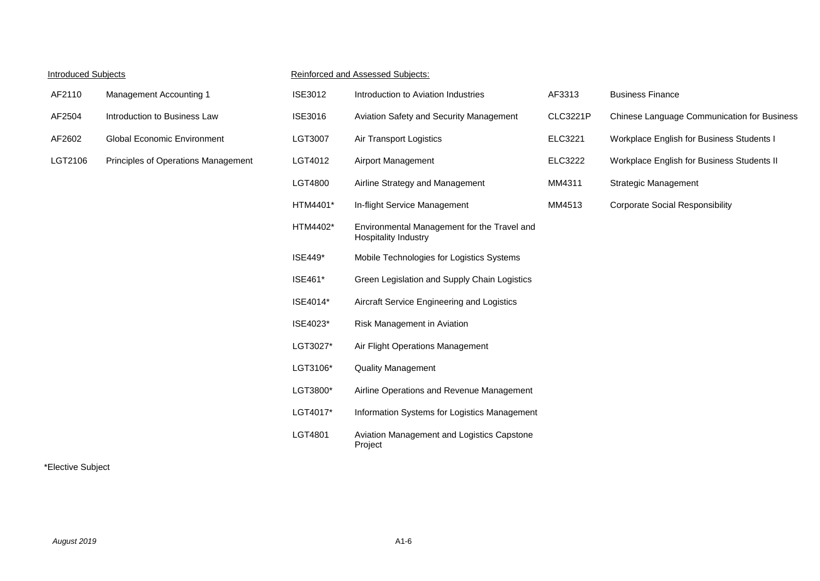#### Introduced Subjects **Reinforced and Assessed Subjects:**

| AF2110  | <b>Management Accounting 1</b>     |
|---------|------------------------------------|
| AF2504  | Introduction to Business Law       |
| AF2602  | <b>Global Economic Environment</b> |
| LGT2106 | Principles of Operations Managemer |

| AF2110  | Management Accounting 1             | <b>ISE3012</b> | Introduction to Aviation Industries                                        | AF3313          | <b>Business Finance</b>                     |
|---------|-------------------------------------|----------------|----------------------------------------------------------------------------|-----------------|---------------------------------------------|
| AF2504  | Introduction to Business Law        | <b>ISE3016</b> | Aviation Safety and Security Management                                    | <b>CLC3221P</b> | Chinese Language Communication for Business |
| AF2602  | <b>Global Economic Environment</b>  | LGT3007        | Air Transport Logistics                                                    | ELC3221         | Workplace English for Business Students I   |
| LGT2106 | Principles of Operations Management | LGT4012        | Airport Management                                                         | <b>ELC3222</b>  | Workplace English for Business Students II  |
|         |                                     | LGT4800        | Airline Strategy and Management                                            | MM4311          | <b>Strategic Management</b>                 |
|         |                                     | HTM4401*       | In-flight Service Management                                               | MM4513          | <b>Corporate Social Responsibility</b>      |
|         |                                     | HTM4402*       | Environmental Management for the Travel and<br><b>Hospitality Industry</b> |                 |                                             |
|         |                                     | <b>ISE449*</b> | Mobile Technologies for Logistics Systems                                  |                 |                                             |
|         |                                     | ISE461*        | Green Legislation and Supply Chain Logistics                               |                 |                                             |
|         |                                     | ISE4014*       | Aircraft Service Engineering and Logistics                                 |                 |                                             |
|         |                                     | ISE4023*       | Risk Management in Aviation                                                |                 |                                             |
|         |                                     | LGT3027*       | Air Flight Operations Management                                           |                 |                                             |
|         |                                     | LGT3106*       | <b>Quality Management</b>                                                  |                 |                                             |
|         |                                     | LGT3800*       | Airline Operations and Revenue Management                                  |                 |                                             |
|         |                                     | LGT4017*       | Information Systems for Logistics Management                               |                 |                                             |
|         |                                     | LGT4801        | Aviation Management and Logistics Capstone<br>Project                      |                 |                                             |
|         |                                     |                |                                                                            |                 |                                             |

#### \*Elective Subject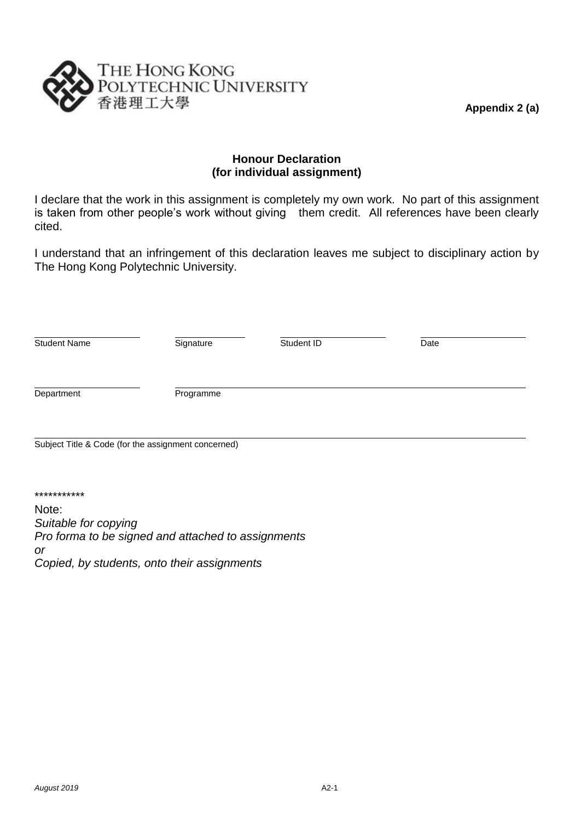**Appendix 2 (a)**



#### **Honour Declaration (for individual assignment)**

I declare that the work in this assignment is completely my own work. No part of this assignment is taken from other people's work without giving them credit. All references have been clearly cited.

I understand that an infringement of this declaration leaves me subject to disciplinary action by The Hong Kong Polytechnic University.

| <b>Student Name</b>                                 | Signature | Student ID | Date |  |  |
|-----------------------------------------------------|-----------|------------|------|--|--|
| Department                                          | Programme |            |      |  |  |
| Subject Title & Code (for the assignment concerned) |           |            |      |  |  |

Note: *Suitable for copying Pro forma to be signed and attached to assignments or Copied, by students, onto their assignments*

\*\*\*\*\*\*\*\*\*\*\*